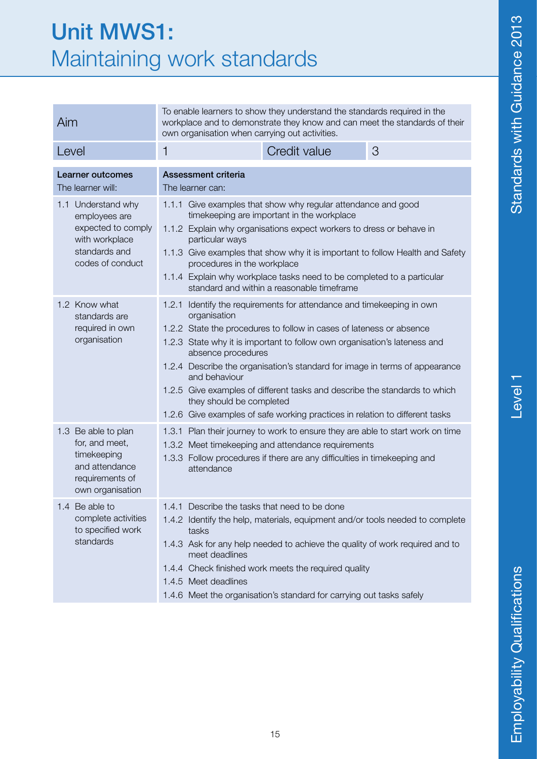#### Unit MWS1: Maintaining work standards

| Aim                                                                                                              | To enable learners to show they understand the standards required in the<br>workplace and to demonstrate they know and can meet the standards of their<br>own organisation when carrying out activities.                                                                                                                                                                                                                                                                                                                                                   |  |  |
|------------------------------------------------------------------------------------------------------------------|------------------------------------------------------------------------------------------------------------------------------------------------------------------------------------------------------------------------------------------------------------------------------------------------------------------------------------------------------------------------------------------------------------------------------------------------------------------------------------------------------------------------------------------------------------|--|--|
| Level                                                                                                            | Credit value<br>3<br>1                                                                                                                                                                                                                                                                                                                                                                                                                                                                                                                                     |  |  |
| Learner outcomes<br>The learner will:                                                                            | Assessment criteria<br>The learner can:                                                                                                                                                                                                                                                                                                                                                                                                                                                                                                                    |  |  |
| 1.1 Understand why<br>employees are<br>expected to comply<br>with workplace<br>standards and<br>codes of conduct | 1.1.1 Give examples that show why regular attendance and good<br>timekeeping are important in the workplace<br>1.1.2 Explain why organisations expect workers to dress or behave in<br>particular ways<br>1.1.3 Give examples that show why it is important to follow Health and Safety<br>procedures in the workplace<br>1.1.4 Explain why workplace tasks need to be completed to a particular<br>standard and within a reasonable timeframe                                                                                                             |  |  |
| 1.2 Know what<br>standards are<br>required in own<br>organisation                                                | 1.2.1 Identify the requirements for attendance and timekeeping in own<br>organisation<br>1.2.2 State the procedures to follow in cases of lateness or absence<br>1.2.3 State why it is important to follow own organisation's lateness and<br>absence procedures<br>1.2.4 Describe the organisation's standard for image in terms of appearance<br>and behaviour<br>1.2.5 Give examples of different tasks and describe the standards to which<br>they should be completed<br>1.2.6 Give examples of safe working practices in relation to different tasks |  |  |
| 1.3 Be able to plan<br>for, and meet,<br>timekeeping<br>and attendance<br>requirements of<br>own organisation    | 1.3.1 Plan their journey to work to ensure they are able to start work on time<br>1.3.2 Meet timekeeping and attendance requirements<br>1.3.3 Follow procedures if there are any difficulties in timekeeping and<br>attendance                                                                                                                                                                                                                                                                                                                             |  |  |
| 1.4 Be able to<br>complete activities<br>to specified work<br>standards                                          | 1.4.1 Describe the tasks that need to be done<br>1.4.2 Identify the help, materials, equipment and/or tools needed to complete<br>tasks<br>1.4.3 Ask for any help needed to achieve the quality of work required and to<br>meet deadlines<br>1.4.4 Check finished work meets the required quality<br>1.4.5 Meet deadlines<br>1.4.6 Meet the organisation's standard for carrying out tasks safely                                                                                                                                                          |  |  |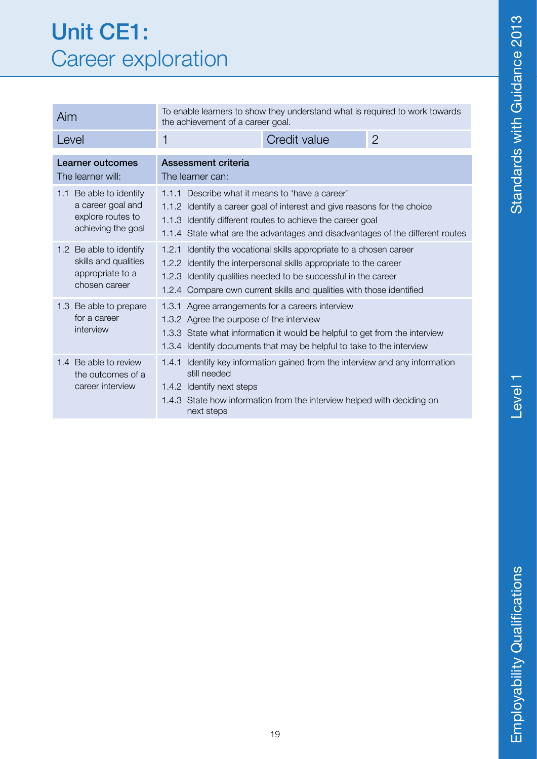#### Unit CE1: Career exploration

| Aim                                                                                     | To enable learners to show they understand what is required to work towards<br>the achievement of a career goal.                                                                                                                                                                      |              |                |
|-----------------------------------------------------------------------------------------|---------------------------------------------------------------------------------------------------------------------------------------------------------------------------------------------------------------------------------------------------------------------------------------|--------------|----------------|
| Level                                                                                   | 1                                                                                                                                                                                                                                                                                     | Credit value | $\overline{2}$ |
| Learner outcomes<br>The learner will:                                                   | Assessment criteria<br>The learner can:                                                                                                                                                                                                                                               |              |                |
| 1.1 Be able to identify<br>a career goal and<br>explore routes to<br>achieving the goal | 1.1.1 Describe what it means to 'have a career'<br>1.1.2 Identify a career goal of interest and give reasons for the choice<br>1.1.3 Identify different routes to achieve the career goal<br>1.1.4 State what are the advantages and disadvantages of the different routes            |              |                |
| 1.2 Be able to identify<br>skills and qualities<br>appropriate to a<br>chosen career    | Identify the vocational skills appropriate to a chosen career<br>1.2.1<br>1.2.2 Identify the interpersonal skills appropriate to the career<br>1.2.3 Identify qualities needed to be successful in the career<br>1.2.4 Compare own current skills and qualities with those identified |              |                |
| 1.3 Be able to prepare<br>for a career<br>interview                                     | 1.3.1 Agree arrangements for a careers interview<br>1.3.2 Agree the purpose of the interview<br>1.3.3 State what information it would be helpful to get from the interview<br>1.3.4 Identify documents that may be helpful to take to the interview                                   |              |                |
| 1.4 Be able to review<br>the outcomes of a<br>career interview                          | Identify key information gained from the interview and any information<br>1.4.1<br>still needed<br>1.4.2 Identify next steps<br>1.4.3 State how information from the interview helped with deciding on<br>next steps                                                                  |              |                |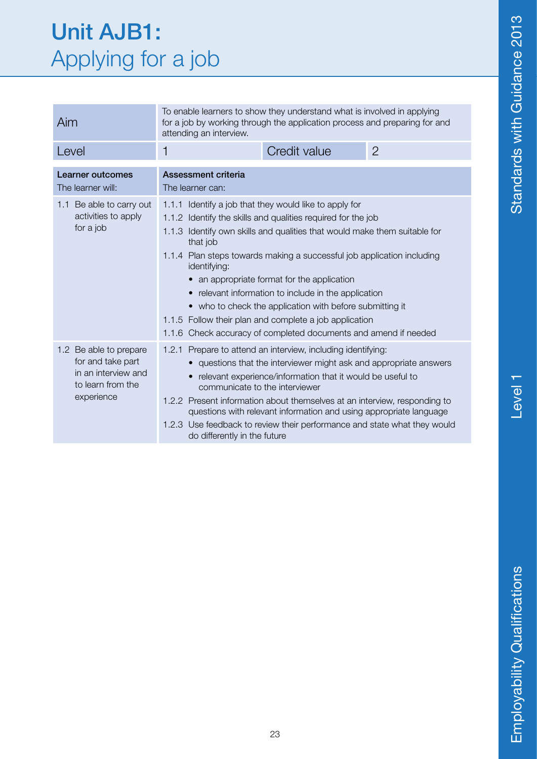#### Unit AJB1: Applying for a job

| Aim                                                                                                   | To enable learners to show they understand what is involved in applying<br>for a job by working through the application process and preparing for and<br>attending an interview.                                                                                                                                                                                                                                                                                                                                                                                                                      |              |                |
|-------------------------------------------------------------------------------------------------------|-------------------------------------------------------------------------------------------------------------------------------------------------------------------------------------------------------------------------------------------------------------------------------------------------------------------------------------------------------------------------------------------------------------------------------------------------------------------------------------------------------------------------------------------------------------------------------------------------------|--------------|----------------|
| Level                                                                                                 | 1                                                                                                                                                                                                                                                                                                                                                                                                                                                                                                                                                                                                     | Credit value | $\overline{2}$ |
| Learner outcomes<br>The learner will:                                                                 | Assessment criteria<br>The learner can:                                                                                                                                                                                                                                                                                                                                                                                                                                                                                                                                                               |              |                |
| 1.1 Be able to carry out<br>activities to apply<br>for a job                                          | 1.1.1 Identify a job that they would like to apply for<br>1.1.2 Identify the skills and qualities required for the job<br>1.1.3 Identify own skills and qualities that would make them suitable for<br>that job<br>1.1.4 Plan steps towards making a successful job application including<br>identifying:<br>an appropriate format for the application<br>relevant information to include in the application<br>• who to check the application with before submitting it<br>1.1.5 Follow their plan and complete a job application<br>1.1.6 Check accuracy of completed documents and amend if needed |              |                |
| 1.2 Be able to prepare<br>for and take part<br>in an interview and<br>to learn from the<br>experience | 1.2.1 Prepare to attend an interview, including identifying:<br>questions that the interviewer might ask and appropriate answers<br>relevant experience/information that it would be useful to<br>communicate to the interviewer<br>1.2.2 Present information about themselves at an interview, responding to<br>questions with relevant information and using appropriate language<br>1.2.3 Use feedback to review their performance and state what they would<br>do differently in the future                                                                                                       |              |                |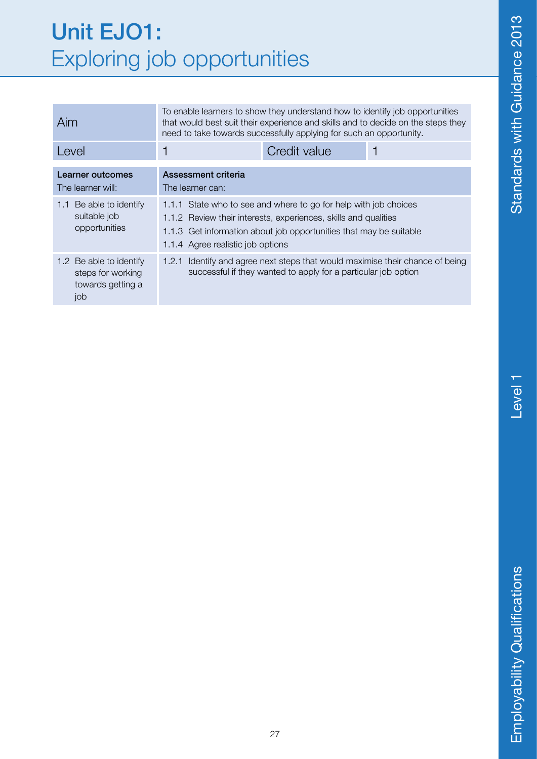#### Unit EJO1: Exploring job opportunities

| Aim                                                                      | To enable learners to show they understand how to identify job opportunities<br>that would best suit their experience and skills and to decide on the steps they<br>need to take towards successfully applying for such an opportunity.        |              |  |
|--------------------------------------------------------------------------|------------------------------------------------------------------------------------------------------------------------------------------------------------------------------------------------------------------------------------------------|--------------|--|
| Level                                                                    |                                                                                                                                                                                                                                                | Credit value |  |
| Learner outcomes<br>The learner will:                                    | Assessment criteria<br>The learner can:                                                                                                                                                                                                        |              |  |
| Be able to identify<br>1.1<br>suitable job<br>opportunities              | 1.1.1 State who to see and where to go for help with job choices<br>1.1.2 Review their interests, experiences, skills and qualities<br>1.1.3 Get information about job opportunities that may be suitable<br>1.1.4 Agree realistic job options |              |  |
| 1.2 Be able to identify<br>steps for working<br>towards getting a<br>job | Identify and agree next steps that would maximise their chance of being<br>1.2.1<br>successful if they wanted to apply for a particular job option                                                                                             |              |  |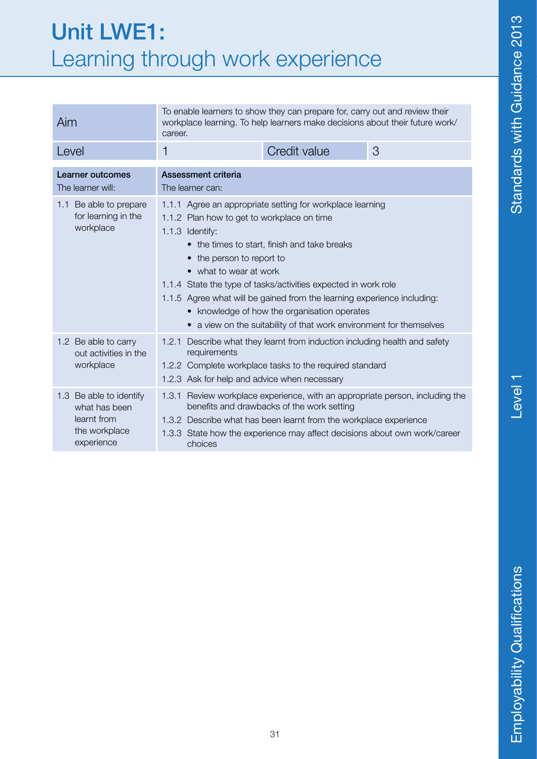#### Unit LWE1: Learning through work experience

| Aim                                                                                    | To enable learners to show they can prepare for, carry out and review their<br>workplace learning. To help learners make decisions about their future work/<br>career.                                                                                                                                                                                                                                                                                                                                |              |   |
|----------------------------------------------------------------------------------------|-------------------------------------------------------------------------------------------------------------------------------------------------------------------------------------------------------------------------------------------------------------------------------------------------------------------------------------------------------------------------------------------------------------------------------------------------------------------------------------------------------|--------------|---|
| Level                                                                                  | 1                                                                                                                                                                                                                                                                                                                                                                                                                                                                                                     | Credit value | 3 |
| Learner outcomes<br>The learner will:                                                  | Assessment criteria<br>The learner can:                                                                                                                                                                                                                                                                                                                                                                                                                                                               |              |   |
| 1.1 Be able to prepare<br>for learning in the<br>workplace                             | 1.1.1 Agree an appropriate setting for workplace learning<br>1.1.2 Plan how to get to workplace on time<br>1.1.3 Identify:<br>• the times to start, finish and take breaks<br>• the person to report to<br>• what to wear at work<br>1.1.4 State the type of tasks/activities expected in work role<br>1.1.5 Agree what will be gained from the learning experience including:<br>• knowledge of how the organisation operates<br>• a view on the suitability of that work environment for themselves |              |   |
| 1.2 Be able to carry<br>out activities in the<br>workplace                             | Describe what they learnt from induction including health and safety<br>1.2.1<br>requirements<br>1.2.2 Complete workplace tasks to the required standard<br>1.2.3 Ask for help and advice when necessary                                                                                                                                                                                                                                                                                              |              |   |
| 1.3 Be able to identify<br>what has been<br>learnt from<br>the workplace<br>experience | 1.3.1 Review workplace experience, with an appropriate person, including the<br>benefits and drawbacks of the work setting<br>1.3.2 Describe what has been learnt from the workplace experience<br>1.3.3 State how the experience may affect decisions about own work/career<br>choices                                                                                                                                                                                                               |              |   |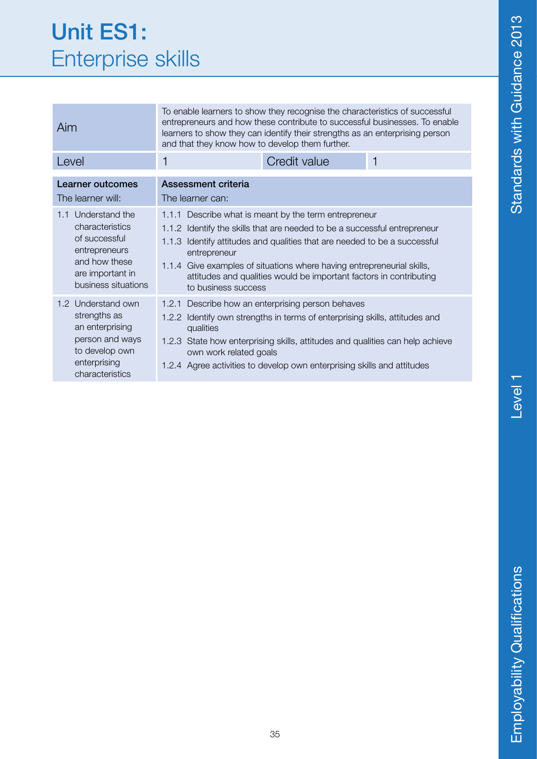#### Unit ES1: Enterprise skills

| Aim                                                                                                                                    | To enable learners to show they recognise the characteristics of successful<br>entrepreneurs and how these contribute to successful businesses. To enable<br>learners to show they can identify their strengths as an enterprising person<br>and that they know how to develop them further.                                                                                                              |              |   |
|----------------------------------------------------------------------------------------------------------------------------------------|-----------------------------------------------------------------------------------------------------------------------------------------------------------------------------------------------------------------------------------------------------------------------------------------------------------------------------------------------------------------------------------------------------------|--------------|---|
| Level                                                                                                                                  | 1                                                                                                                                                                                                                                                                                                                                                                                                         | Credit value | 1 |
| Learner outcomes<br>The learner will:                                                                                                  | <b>Assessment criteria</b><br>The learner can:                                                                                                                                                                                                                                                                                                                                                            |              |   |
| Understand the<br>1.1<br>characteristics<br>of successful<br>entrepreneurs<br>and how these<br>are important in<br>business situations | 1.1.1 Describe what is meant by the term entrepreneur<br>1.1.2 Identify the skills that are needed to be a successful entrepreneur<br>Identify attitudes and qualities that are needed to be a successful<br>1.1.3<br>entrepreneur<br>1.1.4 Give examples of situations where having entrepreneurial skills,<br>attitudes and qualities would be important factors in contributing<br>to business success |              |   |
| 1.2 Understand own<br>strengths as<br>an enterprising<br>person and ways<br>to develop own<br>enterprising<br>characteristics          | 1.2.1 Describe how an enterprising person behaves<br>1.2.2 Identify own strengths in terms of enterprising skills, attitudes and<br>qualities<br>1.2.3 State how enterprising skills, attitudes and qualities can help achieve<br>own work related goals<br>1.2.4 Agree activities to develop own enterprising skills and attitudes                                                                       |              |   |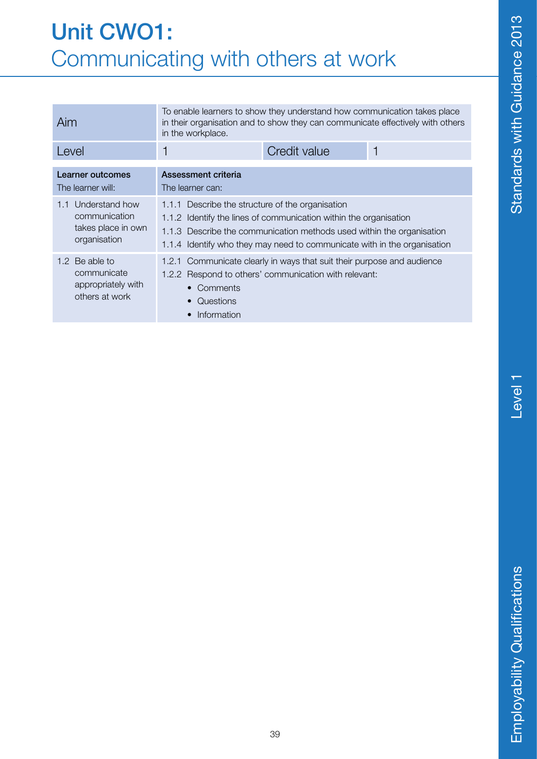#### Unit CWO1: Communicating with others at work

| Aim                                                                          | To enable learners to show they understand how communication takes place<br>in their organisation and to show they can communicate effectively with others<br>in the workplace.                                                                                               |  |  |
|------------------------------------------------------------------------------|-------------------------------------------------------------------------------------------------------------------------------------------------------------------------------------------------------------------------------------------------------------------------------|--|--|
| Level                                                                        | Credit value<br>1                                                                                                                                                                                                                                                             |  |  |
| Learner outcomes<br>The learner will:                                        | Assessment criteria<br>The learner can:                                                                                                                                                                                                                                       |  |  |
| Understand how<br>1.1<br>communication<br>takes place in own<br>organisation | Describe the structure of the organisation<br>1.1.1<br>1.1.2 Identify the lines of communication within the organisation<br>1.1.3 Describe the communication methods used within the organisation<br>1.1.4 Identify who they may need to communicate with in the organisation |  |  |
| 1.2 Be able to<br>communicate<br>appropriately with<br>others at work        | Communicate clearly in ways that suit their purpose and audience<br>1.2.1<br>1.2.2 Respond to others' communication with relevant:<br>Comments<br>Questions<br>Information                                                                                                    |  |  |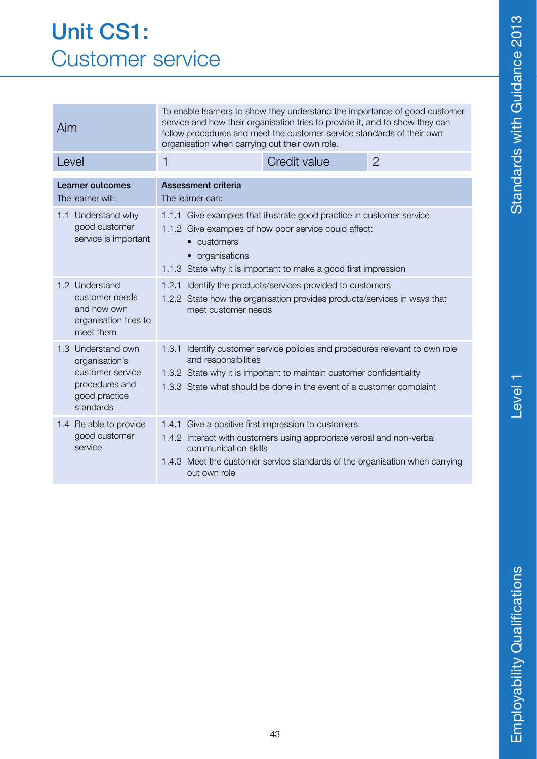#### Unit CS1: Customer service

| Aim                                                                                                      | To enable learners to show they understand the importance of good customer<br>service and how their organisation tries to provide it, and to show they can<br>follow procedures and meet the customer service standards of their own<br>organisation when carrying out their own role. |              |                |  |
|----------------------------------------------------------------------------------------------------------|----------------------------------------------------------------------------------------------------------------------------------------------------------------------------------------------------------------------------------------------------------------------------------------|--------------|----------------|--|
| Level                                                                                                    | 1                                                                                                                                                                                                                                                                                      | Credit value | $\overline{2}$ |  |
| Learner outcomes<br>The learner will:                                                                    | Assessment criteria<br>The learner can:                                                                                                                                                                                                                                                |              |                |  |
| 1.1 Understand why<br>good customer<br>service is important                                              | 1.1.1 Give examples that illustrate good practice in customer service<br>1.1.2 Give examples of how poor service could affect:<br>customers<br>$\bullet$<br>organisations<br>1.1.3 State why it is important to make a good first impression                                           |              |                |  |
| 1.2 Understand<br>customer needs<br>and how own<br>organisation tries to<br>meet them                    | 1.2.1 Identify the products/services provided to customers<br>1.2.2 State how the organisation provides products/services in ways that<br>meet customer needs                                                                                                                          |              |                |  |
| 1.3 Understand own<br>organisation's<br>customer service<br>procedures and<br>good practice<br>standards | Identify customer service policies and procedures relevant to own role<br>1.3.1<br>and responsibilities<br>1.3.2 State why it is important to maintain customer confidentiality<br>1.3.3 State what should be done in the event of a customer complaint                                |              |                |  |
| 1.4 Be able to provide<br>good customer<br>service                                                       | Give a positive first impression to customers<br>1.4.1<br>1.4.2 Interact with customers using appropriate verbal and non-verbal<br>communication skills<br>1.4.3 Meet the customer service standards of the organisation when carrying<br>out own role                                 |              |                |  |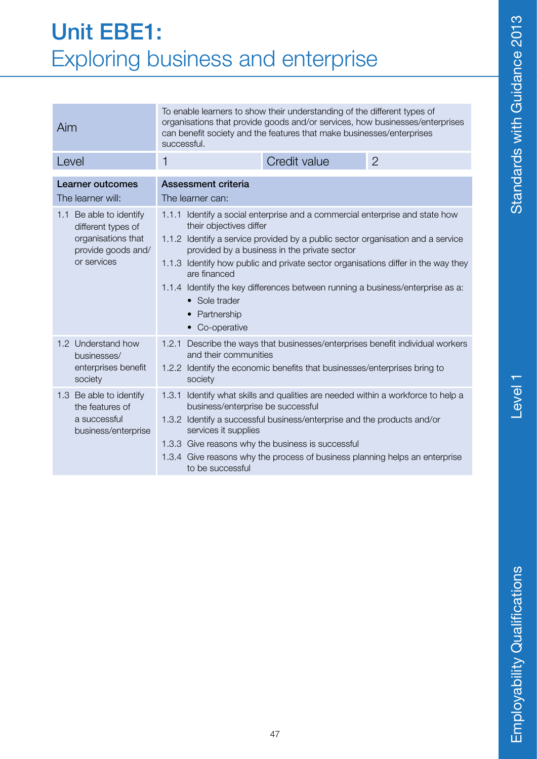#### Unit EBE1: Exploring business and enterprise

| Aim                                                                                                      | To enable learners to show their understanding of the different types of<br>organisations that provide goods and/or services, how businesses/enterprises<br>can benefit society and the features that make businesses/enterprises<br>successful.                                                                                                                                                                                                                                    |              |                |
|----------------------------------------------------------------------------------------------------------|-------------------------------------------------------------------------------------------------------------------------------------------------------------------------------------------------------------------------------------------------------------------------------------------------------------------------------------------------------------------------------------------------------------------------------------------------------------------------------------|--------------|----------------|
| Level                                                                                                    | 1                                                                                                                                                                                                                                                                                                                                                                                                                                                                                   | Credit value | $\overline{2}$ |
| <b>Learner outcomes</b><br>The learner will:                                                             | Assessment criteria<br>The learner can:                                                                                                                                                                                                                                                                                                                                                                                                                                             |              |                |
| 1.1 Be able to identify<br>different types of<br>organisations that<br>provide goods and/<br>or services | 1.1.1 Identify a social enterprise and a commercial enterprise and state how<br>their objectives differ<br>1.1.2 Identify a service provided by a public sector organisation and a service<br>provided by a business in the private sector<br>1.1.3 Identify how public and private sector organisations differ in the way they<br>are financed<br>1.1.4 Identify the key differences between running a business/enterprise as a:<br>• Sole trader<br>Partnership<br>• Co-operative |              |                |
| 1.2 Understand how<br>businesses/<br>enterprises benefit<br>society                                      | Describe the ways that businesses/enterprises benefit individual workers<br>1.2.1<br>and their communities<br>1.2.2 Identify the economic benefits that businesses/enterprises bring to<br>society                                                                                                                                                                                                                                                                                  |              |                |
| 1.3 Be able to identify<br>the features of<br>a successful<br>business/enterprise                        | Identify what skills and qualities are needed within a workforce to help a<br>1.3.1<br>business/enterprise be successful<br>1.3.2 Identify a successful business/enterprise and the products and/or<br>services it supplies<br>1.3.3 Give reasons why the business is successful<br>1.3.4 Give reasons why the process of business planning helps an enterprise<br>to be successful                                                                                                 |              |                |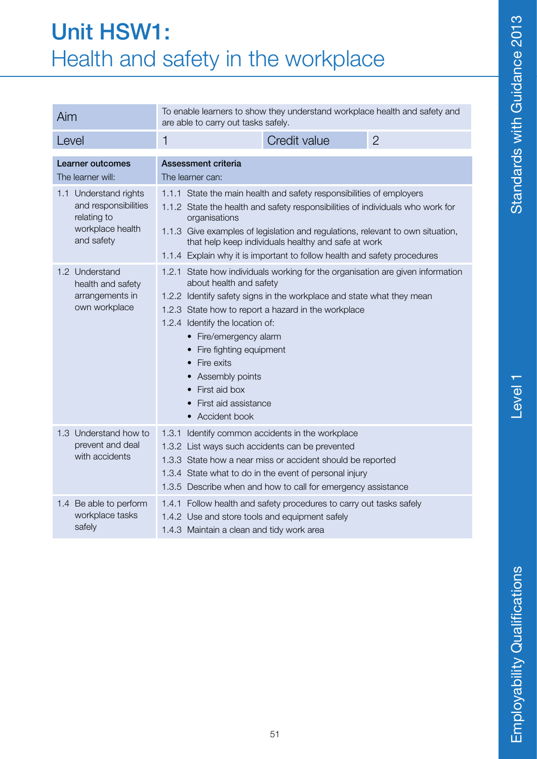#### Unit HSW1: Health and safety in the workplace

| Aim                                                                                            | To enable learners to show they understand workplace health and safety and<br>are able to carry out tasks safely.                                                                                                                                                                                                                                                                                                              |  |  |
|------------------------------------------------------------------------------------------------|--------------------------------------------------------------------------------------------------------------------------------------------------------------------------------------------------------------------------------------------------------------------------------------------------------------------------------------------------------------------------------------------------------------------------------|--|--|
| Level                                                                                          | Credit value<br>$\overline{2}$<br>1                                                                                                                                                                                                                                                                                                                                                                                            |  |  |
| Learner outcomes<br>The learner will:                                                          | Assessment criteria<br>The learner can:                                                                                                                                                                                                                                                                                                                                                                                        |  |  |
| 1.1 Understand rights<br>and responsibilities<br>relating to<br>workplace health<br>and safety | 1.1.1 State the main health and safety responsibilities of employers<br>1.1.2 State the health and safety responsibilities of individuals who work for<br>organisations<br>1.1.3 Give examples of legislation and regulations, relevant to own situation,<br>that help keep individuals healthy and safe at work<br>1.1.4 Explain why it is important to follow health and safety procedures                                   |  |  |
| 1.2 Understand<br>health and safety<br>arrangements in<br>own workplace                        | 1.2.1 State how individuals working for the organisation are given information<br>about health and safety<br>1.2.2 Identify safety signs in the workplace and state what they mean<br>1.2.3 State how to report a hazard in the workplace<br>1.2.4 Identify the location of:<br>• Fire/emergency alarm<br>Fire fighting equipment<br>Fire exits<br>Assembly points<br>First aid box<br>First aid assistance<br>• Accident book |  |  |
| 1.3 Understand how to<br>prevent and deal<br>with accidents                                    | Identify common accidents in the workplace<br>1.3.1<br>1.3.2 List ways such accidents can be prevented<br>1.3.3 State how a near miss or accident should be reported<br>1.3.4 State what to do in the event of personal injury<br>1.3.5 Describe when and how to call for emergency assistance                                                                                                                                 |  |  |
| 1.4 Be able to perform<br>workplace tasks<br>safely                                            | 1.4.1 Follow health and safety procedures to carry out tasks safely<br>1.4.2 Use and store tools and equipment safely<br>1.4.3 Maintain a clean and tidy work area                                                                                                                                                                                                                                                             |  |  |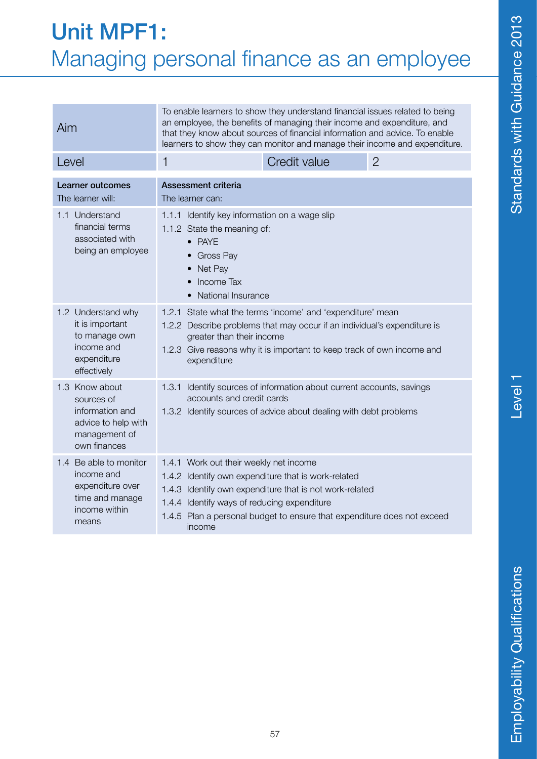### Level<sub>1</sub>

#### Unit MPF1: Managing personal finance as an employee

| Aim                                                                                                     | To enable learners to show they understand financial issues related to being<br>an employee, the benefits of managing their income and expenditure, and<br>that they know about sources of financial information and advice. To enable<br>learners to show they can monitor and manage their income and expenditure. |              |                |
|---------------------------------------------------------------------------------------------------------|----------------------------------------------------------------------------------------------------------------------------------------------------------------------------------------------------------------------------------------------------------------------------------------------------------------------|--------------|----------------|
| Level                                                                                                   | 1                                                                                                                                                                                                                                                                                                                    | Credit value | $\overline{2}$ |
| Learner outcomes<br>The learner will:                                                                   | Assessment criteria<br>The learner can:                                                                                                                                                                                                                                                                              |              |                |
| 1.1 Understand<br>financial terms<br>associated with<br>being an employee                               | 1.1.1 Identify key information on a wage slip<br>1.1.2 State the meaning of:<br>$\bullet$ PAYE<br><b>Gross Pay</b><br>Net Pay<br>Income Tax<br><b>National Insurance</b>                                                                                                                                             |              |                |
| 1.2 Understand why<br>it is important<br>to manage own<br>income and<br>expenditure<br>effectively      | State what the terms 'income' and 'expenditure' mean<br>1.2.1<br>1.2.2 Describe problems that may occur if an individual's expenditure is<br>greater than their income<br>1.2.3 Give reasons why it is important to keep track of own income and<br>expenditure                                                      |              |                |
| 1.3 Know about<br>sources of<br>information and<br>advice to help with<br>management of<br>own finances | Identify sources of information about current accounts, savings<br>1.3.1<br>accounts and credit cards<br>1.3.2 Identify sources of advice about dealing with debt problems                                                                                                                                           |              |                |
| 1.4 Be able to monitor<br>income and<br>expenditure over<br>time and manage<br>income within<br>means   | 1.4.1 Work out their weekly net income<br>1.4.2 Identify own expenditure that is work-related<br>1.4.3 Identify own expenditure that is not work-related<br>1.4.4 Identify ways of reducing expenditure<br>1.4.5 Plan a personal budget to ensure that expenditure does not exceed<br>income                         |              |                |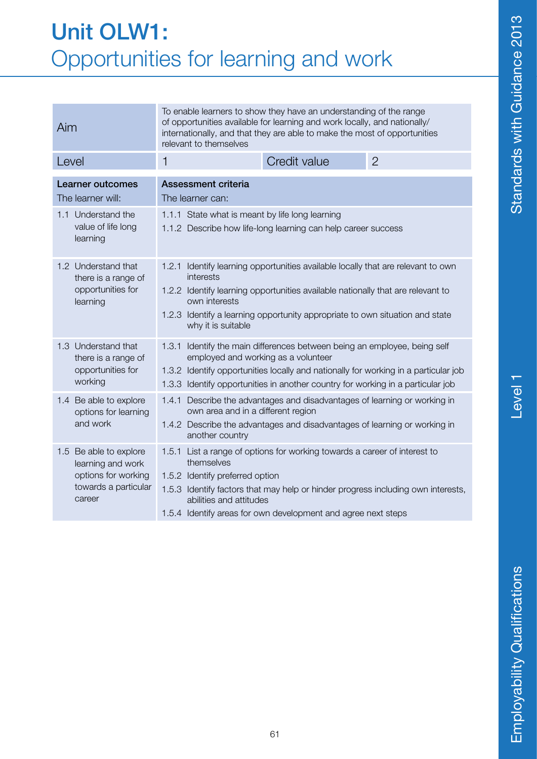#### Unit OLW1: Opportunities for learning and work

| Aim                                                                                                  | To enable learners to show they have an understanding of the range<br>of opportunities available for learning and work locally, and nationally/<br>internationally, and that they are able to make the most of opportunities<br>relevant to themselves                                                     |              |                |  |
|------------------------------------------------------------------------------------------------------|------------------------------------------------------------------------------------------------------------------------------------------------------------------------------------------------------------------------------------------------------------------------------------------------------------|--------------|----------------|--|
| Level                                                                                                | 1                                                                                                                                                                                                                                                                                                          | Credit value | $\overline{2}$ |  |
| <b>Learner outcomes</b><br>The learner will:                                                         | <b>Assessment criteria</b><br>The learner can:                                                                                                                                                                                                                                                             |              |                |  |
| 1.1 Understand the<br>value of life long<br>learning                                                 | 1.1.1 State what is meant by life long learning<br>1.1.2 Describe how life-long learning can help career success                                                                                                                                                                                           |              |                |  |
| 1.2 Understand that<br>there is a range of<br>opportunities for<br>learning                          | 1.2.1 Identify learning opportunities available locally that are relevant to own<br>interests<br>1.2.2 Identify learning opportunities available nationally that are relevant to<br>own interests<br>1.2.3 Identify a learning opportunity appropriate to own situation and state<br>why it is suitable    |              |                |  |
| 1.3 Understand that<br>there is a range of<br>opportunities for<br>working                           | 1.3.1 Identify the main differences between being an employee, being self<br>employed and working as a volunteer<br>1.3.2 Identify opportunities locally and nationally for working in a particular job<br>1.3.3 Identify opportunities in another country for working in a particular job                 |              |                |  |
| 1.4 Be able to explore<br>options for learning<br>and work                                           | 1.4.1 Describe the advantages and disadvantages of learning or working in<br>own area and in a different region<br>1.4.2 Describe the advantages and disadvantages of learning or working in<br>another country                                                                                            |              |                |  |
| 1.5 Be able to explore<br>learning and work<br>options for working<br>towards a particular<br>career | 1.5.1 List a range of options for working towards a career of interest to<br>themselves<br>1.5.2 Identify preferred option<br>1.5.3 Identify factors that may help or hinder progress including own interests,<br>abilities and attitudes<br>1.5.4 Identify areas for own development and agree next steps |              |                |  |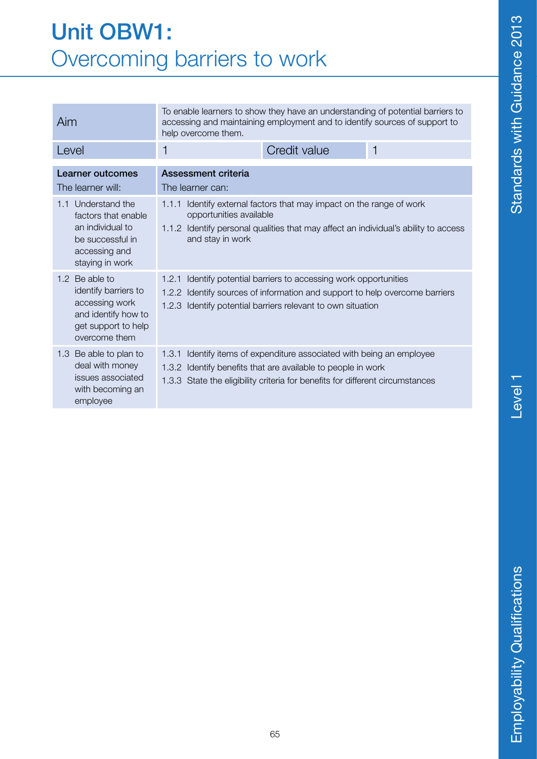#### Unit OBW1: Overcoming barriers to work

| Aim                                                                                                                      | To enable learners to show they have an understanding of potential barriers to<br>accessing and maintaining employment and to identify sources of support to<br>help overcome them.                                       |                                                                                                                                                       |   |
|--------------------------------------------------------------------------------------------------------------------------|---------------------------------------------------------------------------------------------------------------------------------------------------------------------------------------------------------------------------|-------------------------------------------------------------------------------------------------------------------------------------------------------|---|
| Level                                                                                                                    | 1                                                                                                                                                                                                                         | Credit value                                                                                                                                          | 1 |
| <b>Learner outcomes</b><br>The learner will:                                                                             | <b>Assessment criteria</b><br>The learner can:                                                                                                                                                                            |                                                                                                                                                       |   |
| Understand the<br>1.1<br>factors that enable<br>an individual to<br>be successful in<br>accessing and<br>staying in work | 1.1.1<br>opportunities available<br>and stay in work                                                                                                                                                                      | Identify external factors that may impact on the range of work<br>1.1.2 Identify personal qualities that may affect an individual's ability to access |   |
| 1.2 Be able to<br>identify barriers to<br>accessing work<br>and identify how to<br>get support to help<br>overcome them  | 1.2.1<br>Identify potential barriers to accessing work opportunities<br>Identify sources of information and support to help overcome barriers<br>1.2.2<br>1.2.3 Identify potential barriers relevant to own situation     |                                                                                                                                                       |   |
| 1.3 Be able to plan to<br>deal with money<br>issues associated<br>with becoming an<br>employee                           | Identify items of expenditure associated with being an employee<br>1.3.1<br>1.3.2 Identify benefits that are available to people in work<br>1.3.3 State the eligibility criteria for benefits for different circumstances |                                                                                                                                                       |   |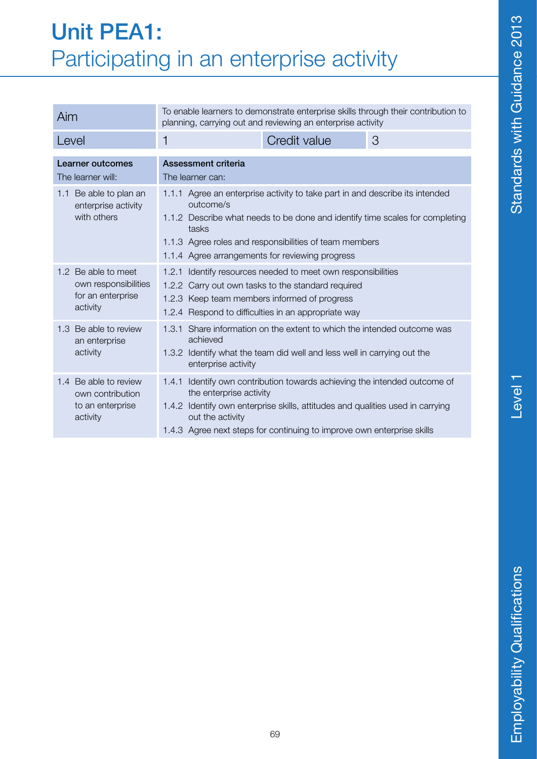#### Unit PEA1: Participating in an enterprise activity

| Aim                                                                          | To enable learners to demonstrate enterprise skills through their contribution to<br>planning, carrying out and reviewing an enterprise activity |                                                                                                                                                                                                                                 |  |  |
|------------------------------------------------------------------------------|--------------------------------------------------------------------------------------------------------------------------------------------------|---------------------------------------------------------------------------------------------------------------------------------------------------------------------------------------------------------------------------------|--|--|
| Level                                                                        | 1                                                                                                                                                | Credit value<br>3                                                                                                                                                                                                               |  |  |
| Learner outcomes<br>The learner will:                                        | <b>Assessment criteria</b><br>The learner can:                                                                                                   |                                                                                                                                                                                                                                 |  |  |
| 1.1 Be able to plan an<br>enterprise activity<br>with others                 | outcome/s<br>tasks<br>1.1.4 Agree arrangements for reviewing progress                                                                            | 1.1.1 Agree an enterprise activity to take part in and describe its intended<br>1.1.2 Describe what needs to be done and identify time scales for completing<br>1.1.3 Agree roles and responsibilities of team members          |  |  |
| 1.2 Be able to meet<br>own responsibilities<br>for an enterprise<br>activity | 1.2.3 Keep team members informed of progress<br>1.2.4 Respond to difficulties in an appropriate way                                              | 1.2.1 Identify resources needed to meet own responsibilities<br>1.2.2 Carry out own tasks to the standard required                                                                                                              |  |  |
| 1.3 Be able to review<br>an enterprise<br>activity                           | achieved<br>enterprise activity                                                                                                                  | 1.3.1 Share information on the extent to which the intended outcome was<br>1.3.2 Identify what the team did well and less well in carrying out the                                                                              |  |  |
| 1.4 Be able to review<br>own contribution<br>to an enterprise<br>activity    | 1.4.1<br>the enterprise activity<br>out the activity                                                                                             | Identify own contribution towards achieving the intended outcome of<br>1.4.2 Identify own enterprise skills, attitudes and qualities used in carrying<br>1.4.3 Agree next steps for continuing to improve own enterprise skills |  |  |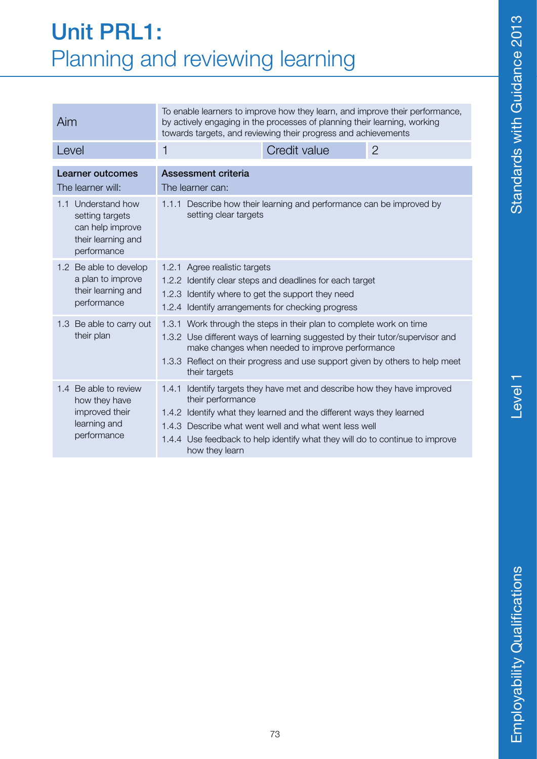#### Unit PRL1: Planning and reviewing learning

| Aim                                                                                               | To enable learners to improve how they learn, and improve their performance,<br>by actively engaging in the processes of planning their learning, working<br>towards targets, and reviewing their progress and achievements                                                                                                         |              |                |
|---------------------------------------------------------------------------------------------------|-------------------------------------------------------------------------------------------------------------------------------------------------------------------------------------------------------------------------------------------------------------------------------------------------------------------------------------|--------------|----------------|
| Level                                                                                             | 1                                                                                                                                                                                                                                                                                                                                   | Credit value | $\overline{2}$ |
| <b>Learner outcomes</b><br>The learner will:                                                      | Assessment criteria<br>The learner can:                                                                                                                                                                                                                                                                                             |              |                |
| Understand how<br>1.1<br>setting targets<br>can help improve<br>their learning and<br>performance | Describe how their learning and performance can be improved by<br>1.1.1<br>setting clear targets                                                                                                                                                                                                                                    |              |                |
| 1.2 Be able to develop<br>a plan to improve<br>their learning and<br>performance                  | 1.2.1 Agree realistic targets<br>1.2.2 Identify clear steps and deadlines for each target<br>1.2.3 Identify where to get the support they need<br>1.2.4 Identify arrangements for checking progress                                                                                                                                 |              |                |
| 1.3 Be able to carry out<br>their plan                                                            | 1.3.1 Work through the steps in their plan to complete work on time<br>1.3.2 Use different ways of learning suggested by their tutor/supervisor and<br>make changes when needed to improve performance<br>1.3.3 Reflect on their progress and use support given by others to help meet<br>their targets                             |              |                |
| 1.4 Be able to review<br>how they have<br>improved their<br>learning and<br>performance           | Identify targets they have met and describe how they have improved<br>1.4.1<br>their performance<br>1.4.2 Identify what they learned and the different ways they learned<br>1.4.3 Describe what went well and what went less well<br>1.4.4 Use feedback to help identify what they will do to continue to improve<br>how they learn |              |                |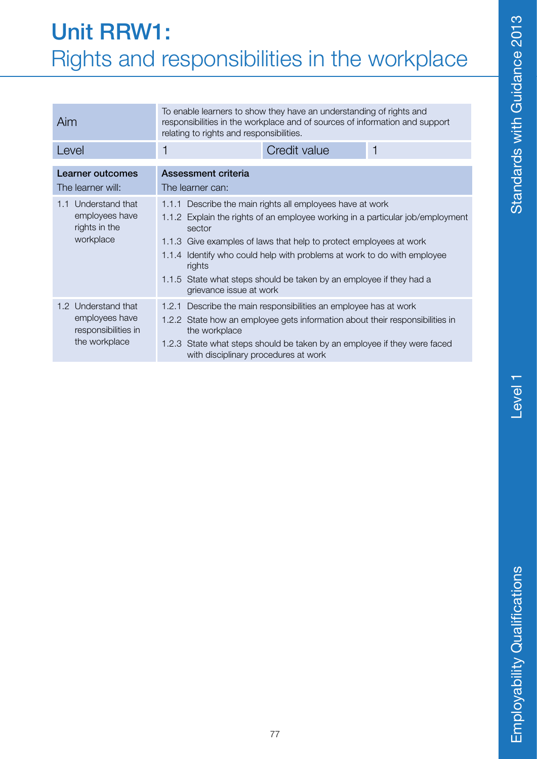#### Unit RRW1: Rights and responsibilities in the workplace

| Aim                                                                           | To enable learners to show they have an understanding of rights and<br>responsibilities in the workplace and of sources of information and support<br>relating to rights and responsibilities.                                                                                                                                                                                                                     |  |  |
|-------------------------------------------------------------------------------|--------------------------------------------------------------------------------------------------------------------------------------------------------------------------------------------------------------------------------------------------------------------------------------------------------------------------------------------------------------------------------------------------------------------|--|--|
| Level                                                                         | Credit value<br>1<br>1                                                                                                                                                                                                                                                                                                                                                                                             |  |  |
| <b>Learner outcomes</b><br>The learner will:                                  | Assessment criteria<br>The learner can:                                                                                                                                                                                                                                                                                                                                                                            |  |  |
| 1.1 Understand that<br>employees have<br>rights in the<br>workplace           | 1.1.1 Describe the main rights all employees have at work<br>1.1.2 Explain the rights of an employee working in a particular job/employment<br>sector<br>1.1.3 Give examples of laws that help to protect employees at work<br>1.1.4 Identify who could help with problems at work to do with employee<br>rights<br>1.1.5 State what steps should be taken by an employee if they had a<br>grievance issue at work |  |  |
| 1.2 Understand that<br>employees have<br>responsibilities in<br>the workplace | 1.2.1 Describe the main responsibilities an employee has at work<br>1.2.2 State how an employee gets information about their responsibilities in<br>the workplace<br>1.2.3 State what steps should be taken by an employee if they were faced<br>with disciplinary procedures at work                                                                                                                              |  |  |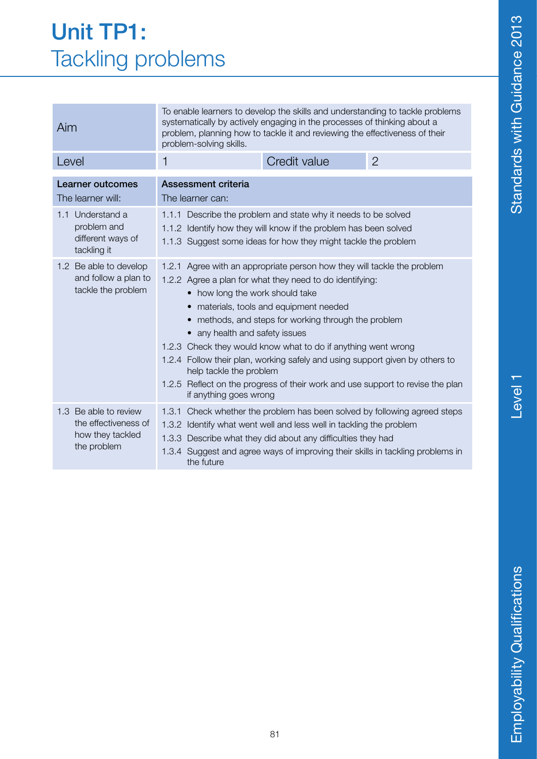# Level<sub>1</sub>

#### Unit TP1: Tackling problems

| Aim                                                                              | To enable learners to develop the skills and understanding to tackle problems<br>systematically by actively engaging in the processes of thinking about a<br>problem, planning how to tackle it and reviewing the effectiveness of their<br>problem-solving skills.                                                                                                                                                                                                                                                                                                                               |              |                |
|----------------------------------------------------------------------------------|---------------------------------------------------------------------------------------------------------------------------------------------------------------------------------------------------------------------------------------------------------------------------------------------------------------------------------------------------------------------------------------------------------------------------------------------------------------------------------------------------------------------------------------------------------------------------------------------------|--------------|----------------|
| Level                                                                            | 1                                                                                                                                                                                                                                                                                                                                                                                                                                                                                                                                                                                                 | Credit value | $\overline{2}$ |
| <b>Learner outcomes</b><br>The learner will:                                     | <b>Assessment criteria</b><br>The learner can:                                                                                                                                                                                                                                                                                                                                                                                                                                                                                                                                                    |              |                |
| Understand a<br>1.1<br>problem and<br>different ways of<br>tackling it           | 1.1.1 Describe the problem and state why it needs to be solved<br>1.1.2 Identify how they will know if the problem has been solved<br>1.1.3 Suggest some ideas for how they might tackle the problem                                                                                                                                                                                                                                                                                                                                                                                              |              |                |
| 1.2 Be able to develop<br>and follow a plan to<br>tackle the problem             | 1.2.1 Agree with an appropriate person how they will tackle the problem<br>1.2.2 Agree a plan for what they need to do identifying:<br>• how long the work should take<br>materials, tools and equipment needed<br>• methods, and steps for working through the problem<br>• any health and safety issues<br>1.2.3 Check they would know what to do if anything went wrong<br>1.2.4 Follow their plan, working safely and using support given by others to<br>help tackle the problem<br>1.2.5 Reflect on the progress of their work and use support to revise the plan<br>if anything goes wrong |              |                |
| 1.3 Be able to review<br>the effectiveness of<br>how they tackled<br>the problem | Check whether the problem has been solved by following agreed steps<br>1.3.1<br>1.3.2 Identify what went well and less well in tackling the problem<br>1.3.3 Describe what they did about any difficulties they had<br>1.3.4 Suggest and agree ways of improving their skills in tackling problems in<br>the future                                                                                                                                                                                                                                                                               |              |                |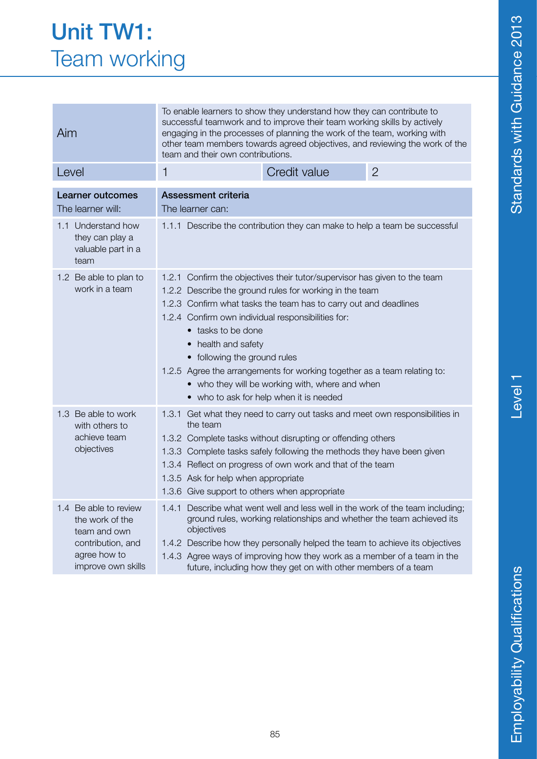| <b>Unit TW1:</b>    |
|---------------------|
| <b>Team working</b> |

| Aim                                                                                                                 | To enable learners to show they understand how they can contribute to<br>successful teamwork and to improve their team working skills by actively<br>engaging in the processes of planning the work of the team, working with<br>other team members towards agreed objectives, and reviewing the work of the<br>team and their own contributions.                                                                                                                             |                                                                                                                                                                                                                                                                                                                                                                                       |                |
|---------------------------------------------------------------------------------------------------------------------|-------------------------------------------------------------------------------------------------------------------------------------------------------------------------------------------------------------------------------------------------------------------------------------------------------------------------------------------------------------------------------------------------------------------------------------------------------------------------------|---------------------------------------------------------------------------------------------------------------------------------------------------------------------------------------------------------------------------------------------------------------------------------------------------------------------------------------------------------------------------------------|----------------|
| Level                                                                                                               | $\mathbf{1}$                                                                                                                                                                                                                                                                                                                                                                                                                                                                  | Credit value                                                                                                                                                                                                                                                                                                                                                                          | $\overline{2}$ |
| Learner outcomes<br>The learner will:                                                                               | Assessment criteria<br>The learner can:                                                                                                                                                                                                                                                                                                                                                                                                                                       |                                                                                                                                                                                                                                                                                                                                                                                       |                |
| 1.1 Understand how<br>they can play a<br>valuable part in a<br>team                                                 | 1.1.1 Describe the contribution they can make to help a team be successful                                                                                                                                                                                                                                                                                                                                                                                                    |                                                                                                                                                                                                                                                                                                                                                                                       |                |
| 1.2 Be able to plan to<br>work in a team                                                                            | Confirm the objectives their tutor/supervisor has given to the team<br>1.2.1<br>1.2.2 Describe the ground rules for working in the team<br>1.2.3 Confirm what tasks the team has to carry out and deadlines<br>1.2.4 Confirm own individual responsibilities for:<br>• tasks to be done<br>• health and safety<br>• following the ground rules<br>1.2.5 Agree the arrangements for working together as a team relating to:<br>• who they will be working with, where and when |                                                                                                                                                                                                                                                                                                                                                                                       |                |
| 1.3 Be able to work<br>with others to<br>achieve team<br>objectives                                                 | • who to ask for help when it is needed<br>1.3.1 Get what they need to carry out tasks and meet own responsibilities in<br>the team<br>1.3.2 Complete tasks without disrupting or offending others<br>1.3.3 Complete tasks safely following the methods they have been given<br>1.3.4 Reflect on progress of own work and that of the team<br>1.3.5 Ask for help when appropriate<br>1.3.6 Give support to others when appropriate                                            |                                                                                                                                                                                                                                                                                                                                                                                       |                |
| 1.4 Be able to review<br>the work of the<br>team and own<br>contribution, and<br>agree how to<br>improve own skills | objectives                                                                                                                                                                                                                                                                                                                                                                                                                                                                    | 1.4.1 Describe what went well and less well in the work of the team including;<br>ground rules, working relationships and whether the team achieved its<br>1.4.2 Describe how they personally helped the team to achieve its objectives<br>1.4.3 Agree ways of improving how they work as a member of a team in the<br>future, including how they get on with other members of a team |                |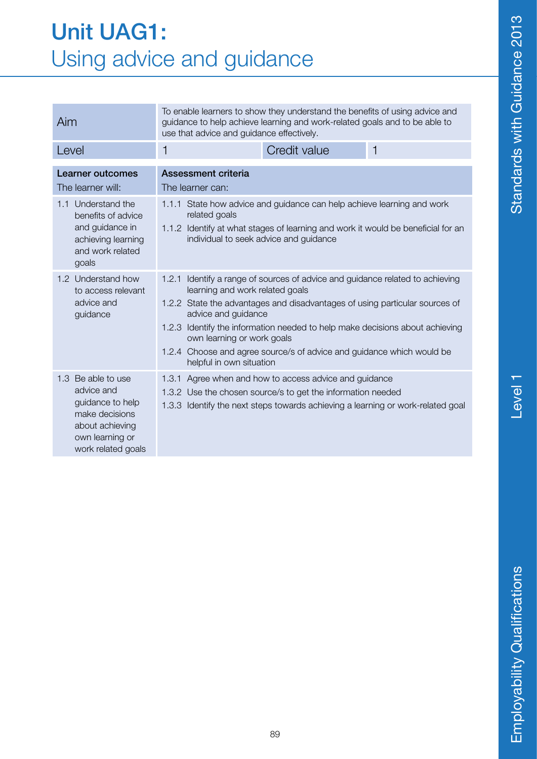#### Unit UAG1: Using advice and guidance

| Aim                                                                                                                                | To enable learners to show they understand the benefits of using advice and<br>guidance to help achieve learning and work-related goals and to be able to<br>use that advice and guidance effectively.                                                                                                                                                                                                           |              |   |
|------------------------------------------------------------------------------------------------------------------------------------|------------------------------------------------------------------------------------------------------------------------------------------------------------------------------------------------------------------------------------------------------------------------------------------------------------------------------------------------------------------------------------------------------------------|--------------|---|
| Level                                                                                                                              | 1                                                                                                                                                                                                                                                                                                                                                                                                                | Credit value | 1 |
| Learner outcomes<br>The learner will:                                                                                              | <b>Assessment criteria</b><br>The learner can:                                                                                                                                                                                                                                                                                                                                                                   |              |   |
| 1.1 Understand the<br>benefits of advice<br>and guidance in<br>achieving learning<br>and work related<br>goals                     | 1.1.1 State how advice and guidance can help achieve learning and work<br>related goals<br>1.1.2 Identify at what stages of learning and work it would be beneficial for an<br>individual to seek advice and guidance                                                                                                                                                                                            |              |   |
| 1.2 Understand how<br>to access relevant<br>advice and<br>guidance                                                                 | Identify a range of sources of advice and guidance related to achieving<br>1.2.1<br>learning and work related goals<br>1.2.2 State the advantages and disadvantages of using particular sources of<br>advice and guidance<br>1.2.3 Identify the information needed to help make decisions about achieving<br>own learning or work goals<br>1.2.4 Choose and agree source/s of advice and guidance which would be |              |   |
| 1.3 Be able to use<br>advice and<br>guidance to help<br>make decisions<br>about achieving<br>own learning or<br>work related goals | helpful in own situation<br>1.3.1 Agree when and how to access advice and guidance<br>1.3.2 Use the chosen source/s to get the information needed<br>1.3.3 Identify the next steps towards achieving a learning or work-related goal                                                                                                                                                                             |              |   |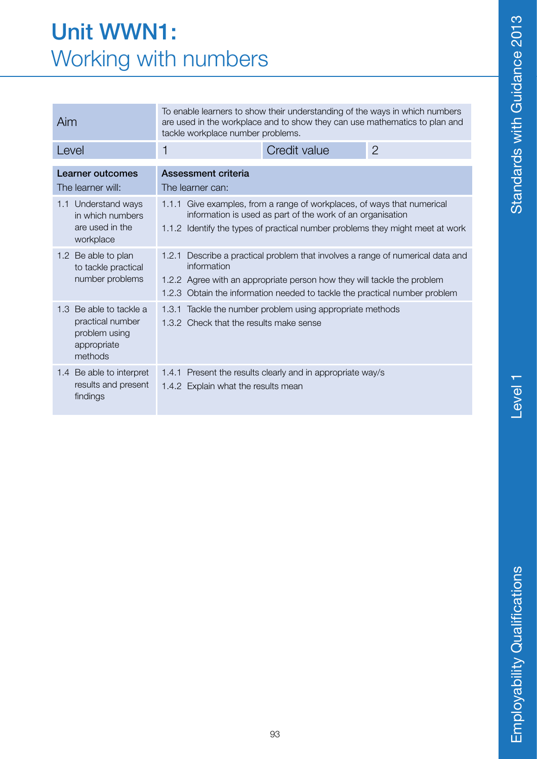#### Unit WWN1: Working with numbers

| Aim                                                                                    | To enable learners to show their understanding of the ways in which numbers<br>are used in the workplace and to show they can use mathematics to plan and<br>tackle workplace number problems.                                                            |                                                            |                |
|----------------------------------------------------------------------------------------|-----------------------------------------------------------------------------------------------------------------------------------------------------------------------------------------------------------------------------------------------------------|------------------------------------------------------------|----------------|
| Level                                                                                  | 1                                                                                                                                                                                                                                                         | Credit value                                               | $\overline{2}$ |
| Learner outcomes<br>The learner will:                                                  | Assessment criteria<br>The learner can:                                                                                                                                                                                                                   |                                                            |                |
| Understand ways<br>1.1<br>in which numbers<br>are used in the<br>workplace             | 1.1.1 Give examples, from a range of workplaces, of ways that numerical<br>information is used as part of the work of an organisation<br>1.1.2 Identify the types of practical number problems they might meet at work                                    |                                                            |                |
| 1.2 Be able to plan<br>to tackle practical<br>number problems                          | Describe a practical problem that involves a range of numerical data and<br>1.2.1<br>information<br>1.2.2 Agree with an appropriate person how they will tackle the problem<br>1.2.3 Obtain the information needed to tackle the practical number problem |                                                            |                |
| 1.3 Be able to tackle a<br>practical number<br>problem using<br>appropriate<br>methods | Tackle the number problem using appropriate methods<br>1.3.1<br>1.3.2 Check that the results make sense                                                                                                                                                   |                                                            |                |
| 1.4 Be able to interpret<br>results and present<br>findings                            | 1.4.2 Explain what the results mean                                                                                                                                                                                                                       | 1.4.1 Present the results clearly and in appropriate way/s |                |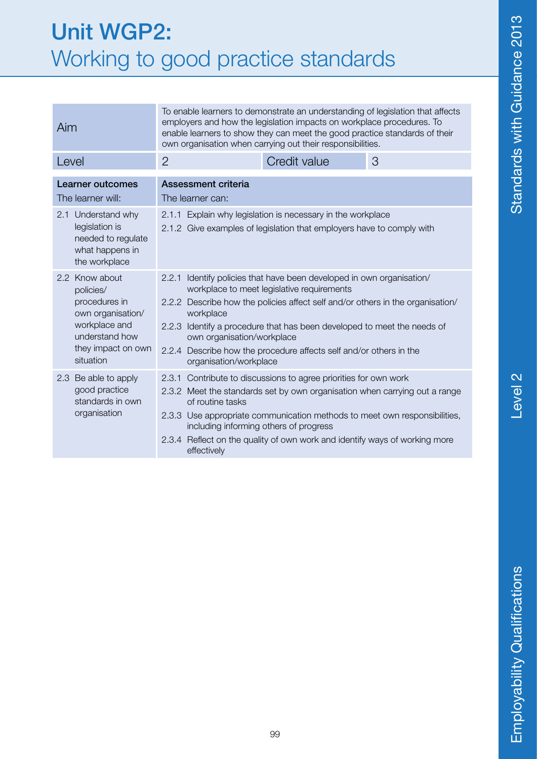#### Unit WGP2: Working to good practice standards

| Aim                                                                                                                                     | To enable learners to demonstrate an understanding of legislation that affects<br>employers and how the legislation impacts on workplace procedures. To<br>enable learners to show they can meet the good practice standards of their<br>own organisation when carrying out their responsibilities.                                                                                                                            |              |   |
|-----------------------------------------------------------------------------------------------------------------------------------------|--------------------------------------------------------------------------------------------------------------------------------------------------------------------------------------------------------------------------------------------------------------------------------------------------------------------------------------------------------------------------------------------------------------------------------|--------------|---|
| Level                                                                                                                                   | $\overline{2}$                                                                                                                                                                                                                                                                                                                                                                                                                 | Credit value | 3 |
| <b>Learner outcomes</b><br>The learner will:                                                                                            | Assessment criteria<br>The learner can:                                                                                                                                                                                                                                                                                                                                                                                        |              |   |
| Understand why<br>2.1<br>legislation is<br>needed to regulate<br>what happens in<br>the workplace                                       | 2.1.1 Explain why legislation is necessary in the workplace<br>2.1.2 Give examples of legislation that employers have to comply with                                                                                                                                                                                                                                                                                           |              |   |
| 2.2 Know about<br>policies/<br>procedures in<br>own organisation/<br>workplace and<br>understand how<br>they impact on own<br>situation | Identify policies that have been developed in own organisation/<br>2.2.1<br>workplace to meet legislative requirements<br>2.2.2 Describe how the policies affect self and/or others in the organisation/<br>workplace<br>2.2.3 Identify a procedure that has been developed to meet the needs of<br>own organisation/workplace<br>2.2.4 Describe how the procedure affects self and/or others in the<br>organisation/workplace |              |   |
| 2.3 Be able to apply<br>good practice<br>standards in own<br>organisation                                                               | 2.3.1 Contribute to discussions to agree priorities for own work<br>2.3.2 Meet the standards set by own organisation when carrying out a range<br>of routine tasks<br>2.3.3 Use appropriate communication methods to meet own responsibilities,<br>including informing others of progress<br>2.3.4 Reflect on the quality of own work and identify ways of working more<br>effectively                                         |              |   |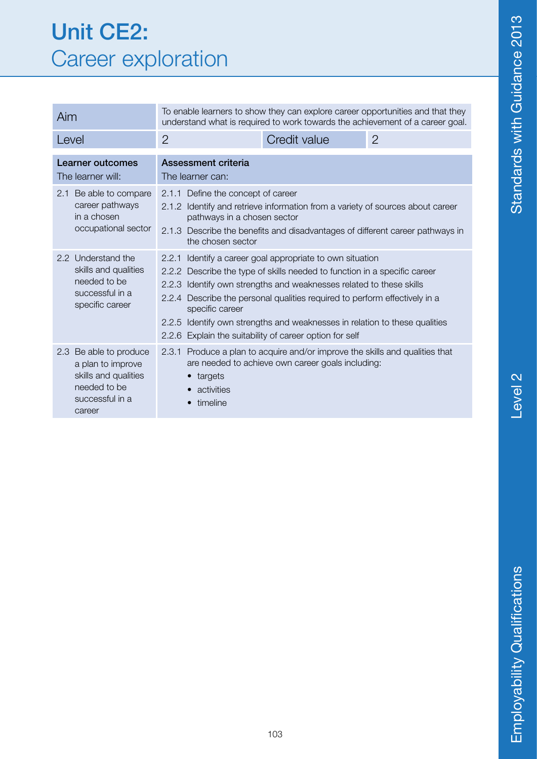#### Unit CE2: Career exploration

| Aim                                                                                                              | To enable learners to show they can explore career opportunities and that they<br>understand what is required to work towards the achievement of a career goal.                                                                                                                                                                                                                                                                                            |                                                                                                                                                                 |                |
|------------------------------------------------------------------------------------------------------------------|------------------------------------------------------------------------------------------------------------------------------------------------------------------------------------------------------------------------------------------------------------------------------------------------------------------------------------------------------------------------------------------------------------------------------------------------------------|-----------------------------------------------------------------------------------------------------------------------------------------------------------------|----------------|
| Level                                                                                                            | $\overline{2}$                                                                                                                                                                                                                                                                                                                                                                                                                                             | Credit value                                                                                                                                                    | $\overline{2}$ |
| Learner outcomes<br>The learner will:                                                                            | Assessment criteria<br>The learner can:                                                                                                                                                                                                                                                                                                                                                                                                                    |                                                                                                                                                                 |                |
| Be able to compare<br>2.1<br>career pathways<br>in a chosen<br>occupational sector                               | 2.1.1 Define the concept of career<br>pathways in a chosen sector<br>the chosen sector                                                                                                                                                                                                                                                                                                                                                                     | 2.1.2 Identify and retrieve information from a variety of sources about career<br>2.1.3 Describe the benefits and disadvantages of different career pathways in |                |
| 2.2 Understand the<br>skills and qualities<br>needed to be<br>successful in a<br>specific career                 | Identify a career goal appropriate to own situation<br>2.2.1<br>2.2.2 Describe the type of skills needed to function in a specific career<br>2.2.3 Identify own strengths and weaknesses related to these skills<br>2.2.4 Describe the personal qualities required to perform effectively in a<br>specific career<br>2.2.5 Identify own strengths and weaknesses in relation to these qualities<br>2.2.6 Explain the suitability of career option for self |                                                                                                                                                                 |                |
| 2.3 Be able to produce<br>a plan to improve<br>skills and qualities<br>needed to be<br>successful in a<br>career | 2.3.1 Produce a plan to acquire and/or improve the skills and qualities that<br>are needed to achieve own career goals including:<br>• targets<br>activities<br>timeline                                                                                                                                                                                                                                                                                   |                                                                                                                                                                 |                |

Level 2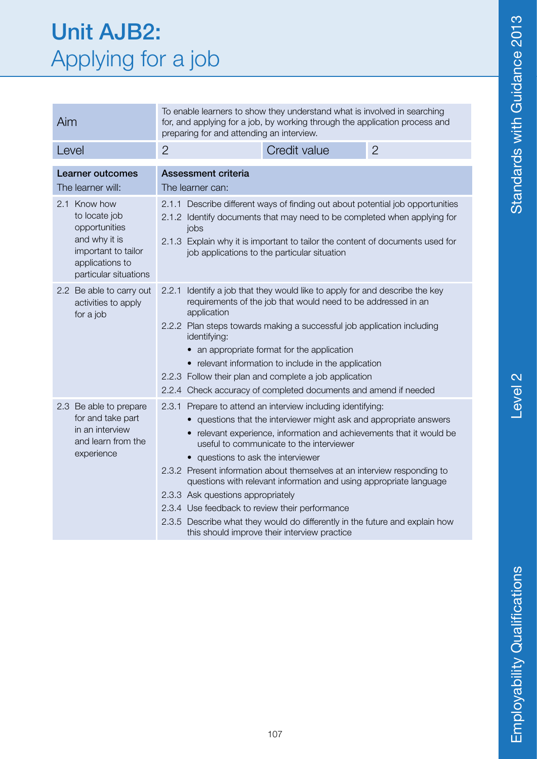#### Unit AJB2: Applying for a job

| Aim                                                                                                                                | To enable learners to show they understand what is involved in searching<br>for, and applying for a job, by working through the application process and<br>preparing for and attending an interview.                                                                                                                                                                                                                                                                                                                                                                                                                                                              |                                                                                                                                                                                                                                                                                             |  |  |
|------------------------------------------------------------------------------------------------------------------------------------|-------------------------------------------------------------------------------------------------------------------------------------------------------------------------------------------------------------------------------------------------------------------------------------------------------------------------------------------------------------------------------------------------------------------------------------------------------------------------------------------------------------------------------------------------------------------------------------------------------------------------------------------------------------------|---------------------------------------------------------------------------------------------------------------------------------------------------------------------------------------------------------------------------------------------------------------------------------------------|--|--|
| Level                                                                                                                              | $\overline{2}$<br>$\overline{2}$<br>Credit value                                                                                                                                                                                                                                                                                                                                                                                                                                                                                                                                                                                                                  |                                                                                                                                                                                                                                                                                             |  |  |
| Learner outcomes<br>The learner will:                                                                                              | <b>Assessment criteria</b><br>The learner can:                                                                                                                                                                                                                                                                                                                                                                                                                                                                                                                                                                                                                    |                                                                                                                                                                                                                                                                                             |  |  |
| 2.1 Know how<br>to locate job<br>opportunities<br>and why it is<br>important to tailor<br>applications to<br>particular situations | jobs                                                                                                                                                                                                                                                                                                                                                                                                                                                                                                                                                                                                                                                              | 2.1.1 Describe different ways of finding out about potential job opportunities<br>2.1.2 Identify documents that may need to be completed when applying for<br>2.1.3 Explain why it is important to tailor the content of documents used for<br>job applications to the particular situation |  |  |
| 2.2 Be able to carry out<br>activities to apply<br>for a job                                                                       | Identify a job that they would like to apply for and describe the key<br>2.2.1<br>requirements of the job that would need to be addressed in an<br>application<br>2.2.2 Plan steps towards making a successful job application including<br>identifying:<br>an appropriate format for the application<br>• relevant information to include in the application<br>2.2.3 Follow their plan and complete a job application<br>2.2.4 Check accuracy of completed documents and amend if needed                                                                                                                                                                        |                                                                                                                                                                                                                                                                                             |  |  |
| 2.3 Be able to prepare<br>for and take part<br>in an interview<br>and learn from the<br>experience                                 | 2.3.1 Prepare to attend an interview including identifying:<br>questions that the interviewer might ask and appropriate answers<br>• relevant experience, information and achievements that it would be<br>useful to communicate to the interviewer<br>• questions to ask the interviewer<br>2.3.2 Present information about themselves at an interview responding to<br>questions with relevant information and using appropriate language<br>2.3.3 Ask questions appropriately<br>2.3.4 Use feedback to review their performance<br>2.3.5 Describe what they would do differently in the future and explain how<br>this should improve their interview practice |                                                                                                                                                                                                                                                                                             |  |  |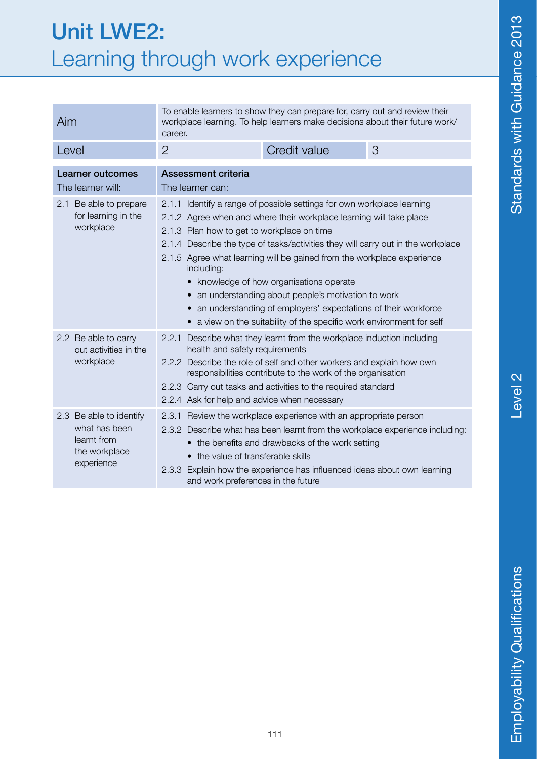#### Unit LWE2: Learning through work experience

| Aim                                                                                    | To enable learners to show they can prepare for, carry out and review their<br>workplace learning. To help learners make decisions about their future work/<br>career.                                                                                                                                                                                                                                                                                                                                                                                                                                                            |                                                                                                                                                                                                                                                                                  |   |
|----------------------------------------------------------------------------------------|-----------------------------------------------------------------------------------------------------------------------------------------------------------------------------------------------------------------------------------------------------------------------------------------------------------------------------------------------------------------------------------------------------------------------------------------------------------------------------------------------------------------------------------------------------------------------------------------------------------------------------------|----------------------------------------------------------------------------------------------------------------------------------------------------------------------------------------------------------------------------------------------------------------------------------|---|
| Level                                                                                  | $\overline{2}$                                                                                                                                                                                                                                                                                                                                                                                                                                                                                                                                                                                                                    | Credit value                                                                                                                                                                                                                                                                     | 3 |
| <b>Learner outcomes</b><br>The learner will:                                           | <b>Assessment criteria</b><br>The learner can:                                                                                                                                                                                                                                                                                                                                                                                                                                                                                                                                                                                    |                                                                                                                                                                                                                                                                                  |   |
| Be able to prepare<br>2.1<br>for learning in the<br>workplace                          | 2.1.1 Identify a range of possible settings for own workplace learning<br>2.1.2 Agree when and where their workplace learning will take place<br>2.1.3 Plan how to get to workplace on time<br>2.1.4 Describe the type of tasks/activities they will carry out in the workplace<br>2.1.5 Agree what learning will be gained from the workplace experience<br>including:<br>• knowledge of how organisations operate<br>an understanding about people's motivation to work<br>an understanding of employers' expectations of their workforce<br>$\bullet$<br>• a view on the suitability of the specific work environment for self |                                                                                                                                                                                                                                                                                  |   |
| 2.2 Be able to carry<br>out activities in the<br>workplace                             | Describe what they learnt from the workplace induction including<br>2.2.1<br>health and safety requirements<br>2.2.2 Describe the role of self and other workers and explain how own<br>responsibilities contribute to the work of the organisation<br>2.2.3 Carry out tasks and activities to the required standard<br>2.2.4 Ask for help and advice when necessary                                                                                                                                                                                                                                                              |                                                                                                                                                                                                                                                                                  |   |
| 2.3 Be able to identify<br>what has been<br>learnt from<br>the workplace<br>experience | • the value of transferable skills<br>and work preferences in the future                                                                                                                                                                                                                                                                                                                                                                                                                                                                                                                                                          | 2.3.1 Review the workplace experience with an appropriate person<br>2.3.2 Describe what has been learnt from the workplace experience including:<br>• the benefits and drawbacks of the work setting<br>2.3.3 Explain how the experience has influenced ideas about own learning |   |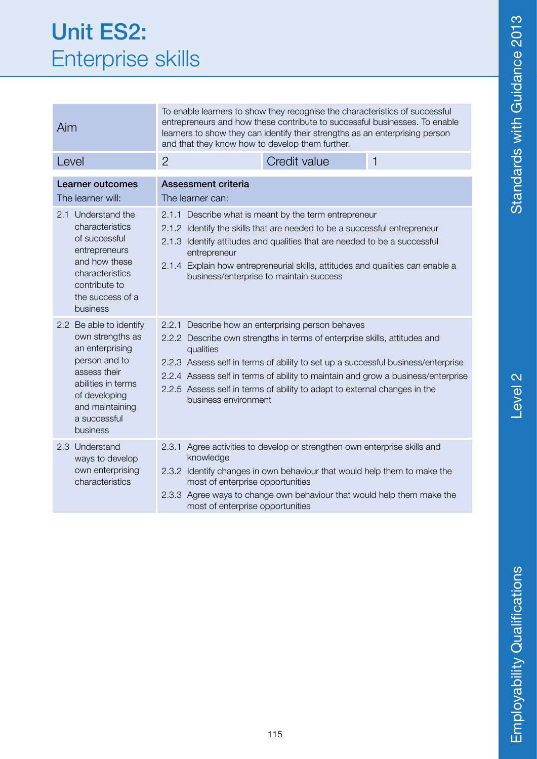| <b>Unit ES2:</b>         |  |
|--------------------------|--|
| <b>Enterprise skills</b> |  |

| Aim                                                                                                                                                                                                          | To enable learners to show they recognise the characteristics of successful<br>entrepreneurs and how these contribute to successful businesses. To enable<br>learners to show they can identify their strengths as an enterprising person<br>and that they know how to develop them further.                                                                                                            |                                                                                                                                                                                                                                                                                                                                                                               |              |
|--------------------------------------------------------------------------------------------------------------------------------------------------------------------------------------------------------------|---------------------------------------------------------------------------------------------------------------------------------------------------------------------------------------------------------------------------------------------------------------------------------------------------------------------------------------------------------------------------------------------------------|-------------------------------------------------------------------------------------------------------------------------------------------------------------------------------------------------------------------------------------------------------------------------------------------------------------------------------------------------------------------------------|--------------|
| Level                                                                                                                                                                                                        | $\overline{2}$                                                                                                                                                                                                                                                                                                                                                                                          | Credit value                                                                                                                                                                                                                                                                                                                                                                  | $\mathbf{1}$ |
| <b>Learner outcomes</b><br>The learner will:<br>2.1 Understand the<br>characteristics<br>of successful<br>entrepreneurs<br>and how these<br>characteristics<br>contribute to<br>the success of a<br>business | Assessment criteria<br>The learner can:<br>2.1.1 Describe what is meant by the term entrepreneur<br>2.1.2 Identify the skills that are needed to be a successful entrepreneur<br>2.1.3 Identify attitudes and qualities that are needed to be a successful<br>entrepreneur<br>2.1.4 Explain how entrepreneurial skills, attitudes and qualities can enable a<br>business/enterprise to maintain success |                                                                                                                                                                                                                                                                                                                                                                               |              |
| 2.2 Be able to identify<br>own strengths as<br>an enterprising<br>person and to<br>assess their<br>abilities in terms<br>of developing<br>and maintaining<br>a successful<br>business                        | 2.2.1<br>qualities<br>business environment                                                                                                                                                                                                                                                                                                                                                              | Describe how an enterprising person behaves<br>2.2.2 Describe own strengths in terms of enterprise skills, attitudes and<br>2.2.3 Assess self in terms of ability to set up a successful business/enterprise<br>2.2.4 Assess self in terms of ability to maintain and grow a business/enterprise<br>2.2.5 Assess self in terms of ability to adapt to external changes in the |              |
| Understand<br>2.3<br>ways to develop<br>own enterprising<br>characteristics                                                                                                                                  | knowledge<br>most of enterprise opportunities<br>most of enterprise opportunities                                                                                                                                                                                                                                                                                                                       | 2.3.1 Agree activities to develop or strengthen own enterprise skills and<br>2.3.2 Identify changes in own behaviour that would help them to make the<br>2.3.3 Agree ways to change own behaviour that would help them make the                                                                                                                                               |              |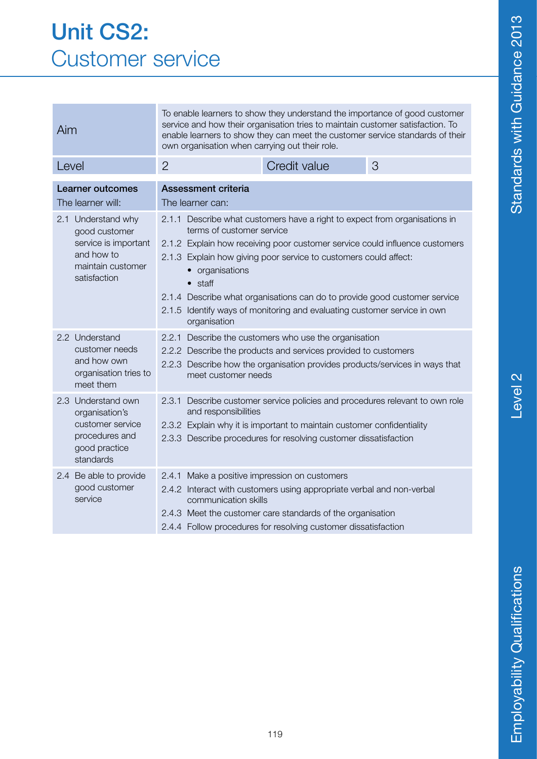#### Unit CS2: Customer service

| Aim                                                                                                            | To enable learners to show they understand the importance of good customer<br>service and how their organisation tries to maintain customer satisfaction. To<br>enable learners to show they can meet the customer service standards of their<br>own organisation when carrying out their role.                                                                                                                                                                                      |                                                                                                                                                                                                                                                  |   |
|----------------------------------------------------------------------------------------------------------------|--------------------------------------------------------------------------------------------------------------------------------------------------------------------------------------------------------------------------------------------------------------------------------------------------------------------------------------------------------------------------------------------------------------------------------------------------------------------------------------|--------------------------------------------------------------------------------------------------------------------------------------------------------------------------------------------------------------------------------------------------|---|
| Level                                                                                                          | $\overline{2}$                                                                                                                                                                                                                                                                                                                                                                                                                                                                       | Credit value                                                                                                                                                                                                                                     | 3 |
| <b>Learner outcomes</b><br>The learner will:                                                                   | <b>Assessment criteria</b><br>The learner can:                                                                                                                                                                                                                                                                                                                                                                                                                                       |                                                                                                                                                                                                                                                  |   |
| 2.1 Understand why<br>good customer<br>service is important<br>and how to<br>maintain customer<br>satisfaction | 2.1.1 Describe what customers have a right to expect from organisations in<br>terms of customer service<br>2.1.2 Explain how receiving poor customer service could influence customers<br>2.1.3 Explain how giving poor service to customers could affect:<br>organisations<br>$\bullet$<br>$\bullet$ staff<br>2.1.4 Describe what organisations can do to provide good customer service<br>2.1.5 Identify ways of monitoring and evaluating customer service in own<br>organisation |                                                                                                                                                                                                                                                  |   |
| 2.2 Understand<br>customer needs<br>and how own<br>organisation tries to<br>meet them                          | 2.2.1<br>Describe the customers who use the organisation<br>2.2.2 Describe the products and services provided to customers<br>2.2.3 Describe how the organisation provides products/services in ways that<br>meet customer needs                                                                                                                                                                                                                                                     |                                                                                                                                                                                                                                                  |   |
| 2.3 Understand own<br>organisation's<br>customer service<br>procedures and<br>good practice<br>standards       | 2.3.1<br>and responsibilities                                                                                                                                                                                                                                                                                                                                                                                                                                                        | Describe customer service policies and procedures relevant to own role<br>2.3.2 Explain why it is important to maintain customer confidentiality<br>2.3.3 Describe procedures for resolving customer dissatisfaction                             |   |
| 2.4 Be able to provide<br>good customer<br>service                                                             | 2.4.1<br>communication skills                                                                                                                                                                                                                                                                                                                                                                                                                                                        | Make a positive impression on customers<br>2.4.2 Interact with customers using appropriate verbal and non-verbal<br>2.4.3 Meet the customer care standards of the organisation<br>2.4.4 Follow procedures for resolving customer dissatisfaction |   |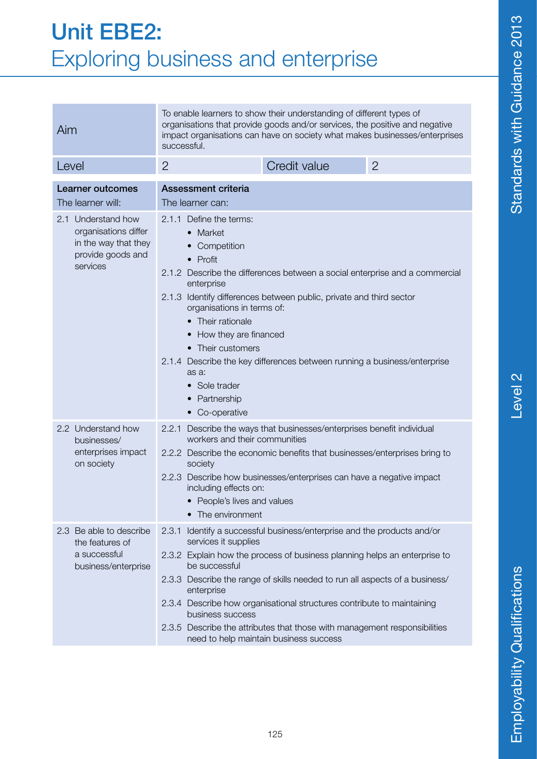### Level<sub>2</sub>

#### Unit EBE2: Exploring business and enterprise

| To enable learners to show their understanding of different types of<br>organisations that provide goods and/or services, the positive and negative<br>Aim<br>impact organisations can have on society what makes businesses/enterprises<br>successful. |                                                                                                                                                                                                                                                                                                                                                                                                                                                                                    |                                                                                                                                                                                                                                                                                                                                                                                                                                |                |
|---------------------------------------------------------------------------------------------------------------------------------------------------------------------------------------------------------------------------------------------------------|------------------------------------------------------------------------------------------------------------------------------------------------------------------------------------------------------------------------------------------------------------------------------------------------------------------------------------------------------------------------------------------------------------------------------------------------------------------------------------|--------------------------------------------------------------------------------------------------------------------------------------------------------------------------------------------------------------------------------------------------------------------------------------------------------------------------------------------------------------------------------------------------------------------------------|----------------|
| Level                                                                                                                                                                                                                                                   | $\overline{2}$                                                                                                                                                                                                                                                                                                                                                                                                                                                                     | Credit value                                                                                                                                                                                                                                                                                                                                                                                                                   | $\overline{2}$ |
| <b>Learner outcomes</b><br>The learner will:                                                                                                                                                                                                            | <b>Assessment criteria</b><br>The learner can:                                                                                                                                                                                                                                                                                                                                                                                                                                     |                                                                                                                                                                                                                                                                                                                                                                                                                                |                |
| 2.1 Understand how<br>organisations differ<br>in the way that they<br>provide goods and<br>services                                                                                                                                                     | 2.1.1 Define the terms:<br>• Market<br>Competition<br>$\bullet$ Profit<br>2.1.2 Describe the differences between a social enterprise and a commercial<br>enterprise<br>2.1.3 Identify differences between public, private and third sector<br>organisations in terms of:<br>• Their rationale<br>How they are financed<br>• Their customers<br>2.1.4 Describe the key differences between running a business/enterprise<br>as a:<br>• Sole trader<br>Partnership<br>• Co-operative |                                                                                                                                                                                                                                                                                                                                                                                                                                |                |
| 2.2 Understand how<br>businesses/<br>enterprises impact<br>on society                                                                                                                                                                                   | 2.2.1 Describe the ways that businesses/enterprises benefit individual<br>workers and their communities<br>2.2.2 Describe the economic benefits that businesses/enterprises bring to<br>society<br>2.2.3 Describe how businesses/enterprises can have a negative impact<br>including effects on:<br>• People's lives and values<br>The environment                                                                                                                                 |                                                                                                                                                                                                                                                                                                                                                                                                                                |                |
| 2.3 Be able to describe<br>the features of<br>a successful<br>business/enterprise                                                                                                                                                                       | 2.3.1<br>services it supplies<br>be successful<br>enterprise<br>business success                                                                                                                                                                                                                                                                                                                                                                                                   | Identify a successful business/enterprise and the products and/or<br>2.3.2 Explain how the process of business planning helps an enterprise to<br>2.3.3 Describe the range of skills needed to run all aspects of a business/<br>2.3.4 Describe how organisational structures contribute to maintaining<br>2.3.5 Describe the attributes that those with management responsibilities<br>need to help maintain business success |                |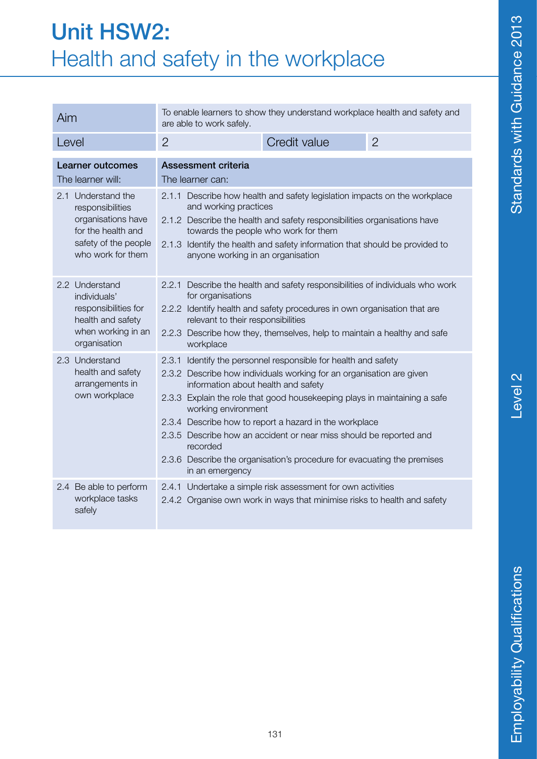#### Unit HSW2: Health and safety in the workplace

| Aim                                                                                                                             | To enable learners to show they understand workplace health and safety and<br>are able to work safely.                                                                                                                                                                                                                                                                                                                                                                                                                         |  |
|---------------------------------------------------------------------------------------------------------------------------------|--------------------------------------------------------------------------------------------------------------------------------------------------------------------------------------------------------------------------------------------------------------------------------------------------------------------------------------------------------------------------------------------------------------------------------------------------------------------------------------------------------------------------------|--|
| Level                                                                                                                           | Credit value<br>$\overline{2}$<br>$\overline{2}$                                                                                                                                                                                                                                                                                                                                                                                                                                                                               |  |
| Learner outcomes<br>The learner will:                                                                                           | <b>Assessment criteria</b><br>The learner can:                                                                                                                                                                                                                                                                                                                                                                                                                                                                                 |  |
| 2.1 Understand the<br>responsibilities<br>organisations have<br>for the health and<br>safety of the people<br>who work for them | 2.1.1 Describe how health and safety legislation impacts on the workplace<br>and working practices<br>2.1.2 Describe the health and safety responsibilities organisations have<br>towards the people who work for them<br>2.1.3 Identify the health and safety information that should be provided to<br>anyone working in an organisation                                                                                                                                                                                     |  |
| 2.2 Understand<br>individuals'<br>responsibilities for<br>health and safety<br>when working in an<br>organisation               | Describe the health and safety responsibilities of individuals who work<br>2.2.1<br>for organisations<br>2.2.2 Identify health and safety procedures in own organisation that are<br>relevant to their responsibilities<br>2.2.3 Describe how they, themselves, help to maintain a healthy and safe<br>workplace                                                                                                                                                                                                               |  |
| 2.3 Understand<br>health and safety<br>arrangements in<br>own workplace                                                         | Identify the personnel responsible for health and safety<br>2.3.1<br>2.3.2 Describe how individuals working for an organisation are given<br>information about health and safety<br>2.3.3 Explain the role that good housekeeping plays in maintaining a safe<br>working environment<br>2.3.4 Describe how to report a hazard in the workplace<br>2.3.5 Describe how an accident or near miss should be reported and<br>recorded<br>2.3.6 Describe the organisation's procedure for evacuating the premises<br>in an emergency |  |
| 2.4 Be able to perform<br>workplace tasks<br>safely                                                                             | 2.4.1 Undertake a simple risk assessment for own activities<br>2.4.2 Organise own work in ways that minimise risks to health and safety                                                                                                                                                                                                                                                                                                                                                                                        |  |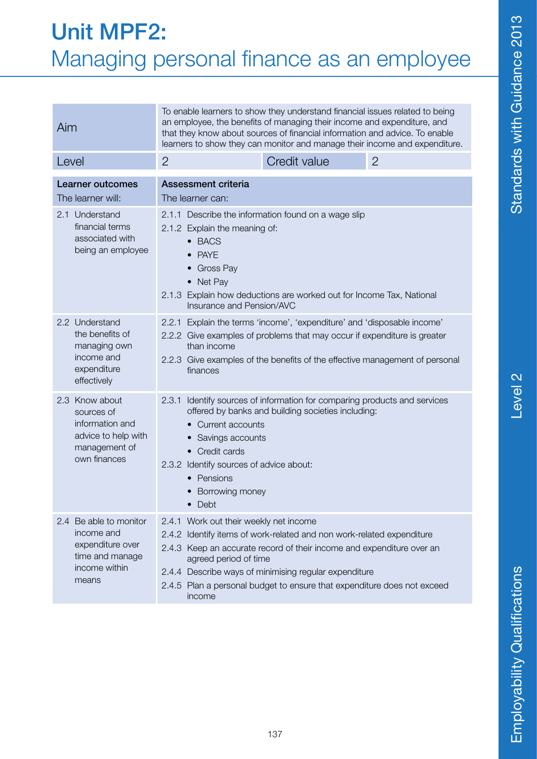### Level<sub>2</sub>

#### Unit MPF2: Managing personal finance as an employee

| Aim                                                                                                        | To enable learners to show they understand financial issues related to being<br>an employee, the benefits of managing their income and expenditure, and<br>that they know about sources of financial information and advice. To enable<br>learners to show they can monitor and manage their income and expenditure.                                            |              |                |
|------------------------------------------------------------------------------------------------------------|-----------------------------------------------------------------------------------------------------------------------------------------------------------------------------------------------------------------------------------------------------------------------------------------------------------------------------------------------------------------|--------------|----------------|
| Level                                                                                                      | $\overline{2}$                                                                                                                                                                                                                                                                                                                                                  | Credit value | $\overline{2}$ |
| <b>Learner outcomes</b><br>The learner will:                                                               | <b>Assessment criteria</b><br>The learner can:                                                                                                                                                                                                                                                                                                                  |              |                |
| 2.1 Understand<br>financial terms<br>associated with<br>being an employee                                  | 2.1.1 Describe the information found on a wage slip<br>2.1.2 Explain the meaning of:<br>• BACS<br><b>PAYE</b><br><b>Gross Pay</b><br>$\bullet$<br>• Net Pay<br>2.1.3 Explain how deductions are worked out for Income Tax, National<br>Insurance and Pension/AVC                                                                                                |              |                |
| 2.2 Understand<br>the benefits of<br>managing own<br>income and<br>expenditure<br>effectively              | 2.2.1 Explain the terms 'income', 'expenditure' and 'disposable income'<br>2.2.2 Give examples of problems that may occur if expenditure is greater<br>than income<br>2.2.3 Give examples of the benefits of the effective management of personal<br>finances                                                                                                   |              |                |
| Know about<br>2.3<br>sources of<br>information and<br>advice to help with<br>management of<br>own finances | Identify sources of information for comparing products and services<br>2.3.1<br>offered by banks and building societies including:<br>Current accounts<br>Savings accounts<br>Credit cards<br>$\bullet$<br>2.3.2 Identify sources of advice about:<br>Pensions<br>$\bullet$<br>Borrowing money<br><b>Debt</b><br>$\bullet$                                      |              |                |
| 2.4 Be able to monitor<br>income and<br>expenditure over<br>time and manage<br>income within<br>means      | 2.4.1 Work out their weekly net income<br>2.4.2 Identify items of work-related and non work-related expenditure<br>2.4.3 Keep an accurate record of their income and expenditure over an<br>agreed period of time<br>2.4.4 Describe ways of minimising regular expenditure<br>2.4.5 Plan a personal budget to ensure that expenditure does not exceed<br>income |              |                |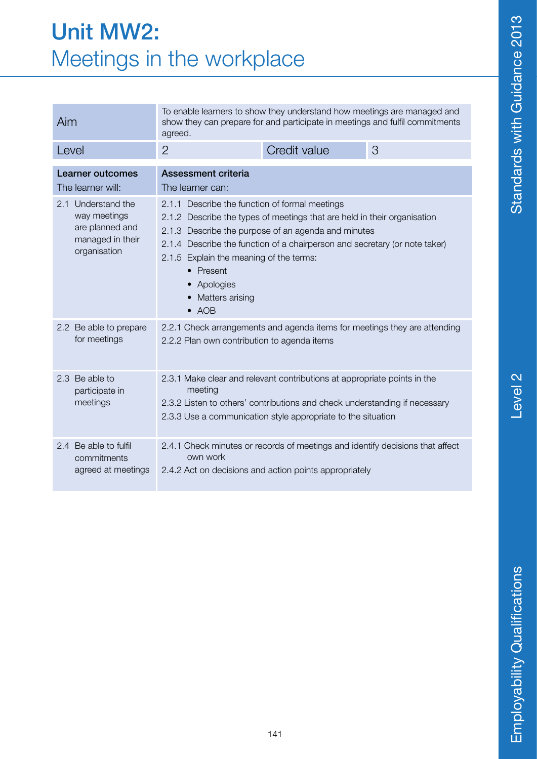#### Unit MW2: Meetings in the workplace

| Aim                                                                                       | To enable learners to show they understand how meetings are managed and<br>show they can prepare for and participate in meetings and fulfil commitments<br>agreed.                                                                                                                                                                                                       |                                                                                                                                         |   |
|-------------------------------------------------------------------------------------------|--------------------------------------------------------------------------------------------------------------------------------------------------------------------------------------------------------------------------------------------------------------------------------------------------------------------------------------------------------------------------|-----------------------------------------------------------------------------------------------------------------------------------------|---|
| Level                                                                                     | $\overline{2}$                                                                                                                                                                                                                                                                                                                                                           | Credit value                                                                                                                            | 3 |
| Learner outcomes<br>The learner will:                                                     | Assessment criteria<br>The learner can:                                                                                                                                                                                                                                                                                                                                  |                                                                                                                                         |   |
| 2.1 Understand the<br>way meetings<br>are planned and<br>managed in their<br>organisation | 2.1.1 Describe the function of formal meetings<br>2.1.2 Describe the types of meetings that are held in their organisation<br>2.1.3 Describe the purpose of an agenda and minutes<br>2.1.4 Describe the function of a chairperson and secretary (or note taker)<br>2.1.5 Explain the meaning of the terms:<br>• Present<br>Apologies<br>Matters arising<br>$\bullet$ AOB |                                                                                                                                         |   |
| 2.2 Be able to prepare<br>for meetings                                                    | 2.2.2 Plan own contribution to agenda items                                                                                                                                                                                                                                                                                                                              | 2.2.1 Check arrangements and agenda items for meetings they are attending                                                               |   |
| 2.3 Be able to<br>participate in<br>meetings                                              | 2.3.1 Make clear and relevant contributions at appropriate points in the<br>meeting<br>2.3.2 Listen to others' contributions and check understanding if necessary<br>2.3.3 Use a communication style appropriate to the situation                                                                                                                                        |                                                                                                                                         |   |
| 2.4 Be able to fulfil<br>commitments<br>agreed at meetings                                | own work                                                                                                                                                                                                                                                                                                                                                                 | 2.4.1 Check minutes or records of meetings and identify decisions that affect<br>2.4.2 Act on decisions and action points appropriately |   |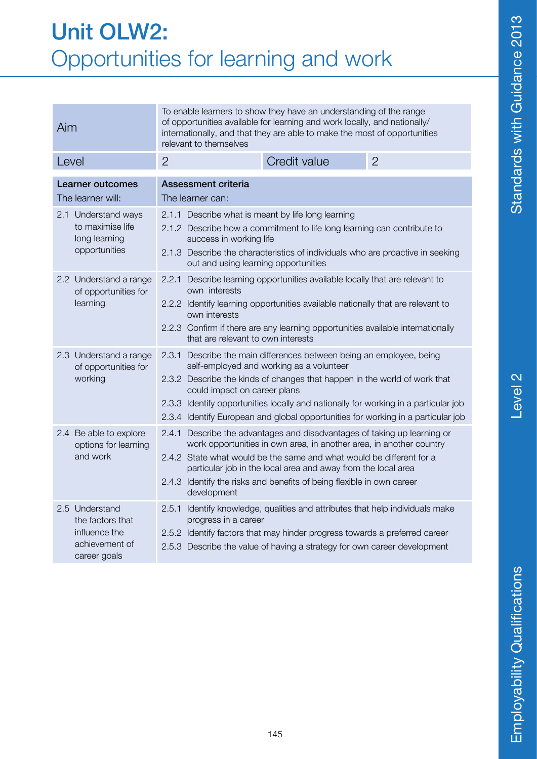| <b>Unit OLW2:</b>                   |  |  |
|-------------------------------------|--|--|
| Opportunities for learning and work |  |  |

| Aim                                                                                   | To enable learners to show they have an understanding of the range<br>of opportunities available for learning and work locally, and nationally/<br>internationally, and that they are able to make the most of opportunities<br>relevant to themselves                                                                                                                                                   |                |  |
|---------------------------------------------------------------------------------------|----------------------------------------------------------------------------------------------------------------------------------------------------------------------------------------------------------------------------------------------------------------------------------------------------------------------------------------------------------------------------------------------------------|----------------|--|
| Level                                                                                 | $\overline{2}$<br>Credit value                                                                                                                                                                                                                                                                                                                                                                           | $\overline{2}$ |  |
| <b>Learner outcomes</b><br>The learner will:                                          | Assessment criteria<br>The learner can:                                                                                                                                                                                                                                                                                                                                                                  |                |  |
| 2.1 Understand ways<br>to maximise life<br>long learning<br>opportunities             | 2.1.1 Describe what is meant by life long learning<br>2.1.2 Describe how a commitment to life long learning can contribute to<br>success in working life<br>2.1.3 Describe the characteristics of individuals who are proactive in seeking<br>out and using learning opportunities                                                                                                                       |                |  |
| 2.2 Understand a range<br>of opportunities for<br>learning                            | 2.2.1 Describe learning opportunities available locally that are relevant to<br>own interests<br>2.2.2 Identify learning opportunities available nationally that are relevant to<br>own interests<br>2.2.3 Confirm if there are any learning opportunities available internationally<br>that are relevant to own interests                                                                               |                |  |
| 2.3 Understand a range<br>of opportunities for<br>working                             | 2.3.1 Describe the main differences between being an employee, being<br>self-employed and working as a volunteer<br>2.3.2 Describe the kinds of changes that happen in the world of work that<br>could impact on career plans<br>2.3.3 Identify opportunities locally and nationally for working in a particular job<br>2.3.4 Identify European and global opportunities for working in a particular job |                |  |
| 2.4 Be able to explore<br>options for learning<br>and work                            | 2.4.1 Describe the advantages and disadvantages of taking up learning or<br>work opportunities in own area, in another area, in another country<br>2.4.2 State what would be the same and what would be different for a<br>particular job in the local area and away from the local area<br>2.4.3 Identify the risks and benefits of being flexible in own career<br>development                         |                |  |
| 2.5 Understand<br>the factors that<br>influence the<br>achievement of<br>career goals | 2.5.1 Identify knowledge, qualities and attributes that help individuals make<br>progress in a career<br>2.5.2 Identify factors that may hinder progress towards a preferred career<br>2.5.3 Describe the value of having a strategy for own career development                                                                                                                                          |                |  |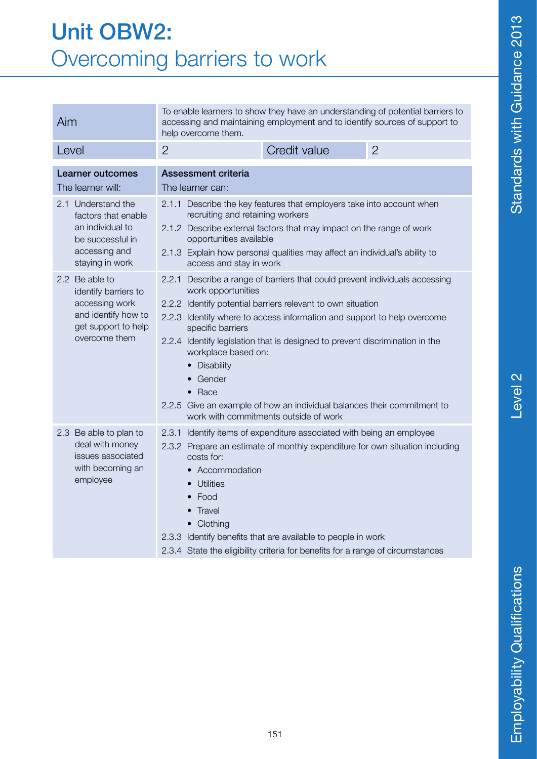#### Unit OBW2: Overcoming barriers to work

| Aim                                                                                                                                                                                                                                                                                                                                                                                                                                                                                    | To enable learners to show they have an understanding of potential barriers to<br>accessing and maintaining employment and to identify sources of support to<br>help overcome them.                                                                                                                                                                                                                                                                                                                                                          |                     |                |
|----------------------------------------------------------------------------------------------------------------------------------------------------------------------------------------------------------------------------------------------------------------------------------------------------------------------------------------------------------------------------------------------------------------------------------------------------------------------------------------|----------------------------------------------------------------------------------------------------------------------------------------------------------------------------------------------------------------------------------------------------------------------------------------------------------------------------------------------------------------------------------------------------------------------------------------------------------------------------------------------------------------------------------------------|---------------------|----------------|
| Level                                                                                                                                                                                                                                                                                                                                                                                                                                                                                  | $\overline{2}$                                                                                                                                                                                                                                                                                                                                                                                                                                                                                                                               | <b>Credit value</b> | $\overline{2}$ |
| <b>Learner outcomes</b><br>The learner will:                                                                                                                                                                                                                                                                                                                                                                                                                                           | <b>Assessment criteria</b><br>The learner can:                                                                                                                                                                                                                                                                                                                                                                                                                                                                                               |                     |                |
| 2.1 Understand the<br>factors that enable<br>an individual to<br>be successful in<br>accessing and<br>staying in work                                                                                                                                                                                                                                                                                                                                                                  | 2.1.1 Describe the key features that employers take into account when<br>recruiting and retaining workers<br>2.1.2 Describe external factors that may impact on the range of work<br>opportunities available<br>2.1.3 Explain how personal qualities may affect an individual's ability to<br>access and stay in work                                                                                                                                                                                                                        |                     |                |
| 2.2 Be able to<br>identify barriers to<br>accessing work<br>and identify how to<br>get support to help<br>overcome them                                                                                                                                                                                                                                                                                                                                                                | 2.2.1 Describe a range of barriers that could prevent individuals accessing<br>work opportunities<br>2.2.2 Identify potential barriers relevant to own situation<br>2.2.3 Identify where to access information and support to help overcome<br>specific barriers<br>2.2.4 Identify legislation that is designed to prevent discrimination in the<br>workplace based on:<br><b>Disability</b><br>Gender<br>$\bullet$ Race<br>2.2.5 Give an example of how an individual balances their commitment to<br>work with commitments outside of work |                     |                |
| 2.3 Be able to plan to<br>2.3.1<br>Identify items of expenditure associated with being an employee<br>deal with money<br>2.3.2 Prepare an estimate of monthly expenditure for own situation including<br>issues associated<br>costs for:<br>with becoming an<br>Accommodation<br>employee<br>Utilities<br>Food<br>Travel<br>Clothing<br>2.3.3 Identify benefits that are available to people in work<br>2.3.4 State the eligibility criteria for benefits for a range of circumstances |                                                                                                                                                                                                                                                                                                                                                                                                                                                                                                                                              |                     |                |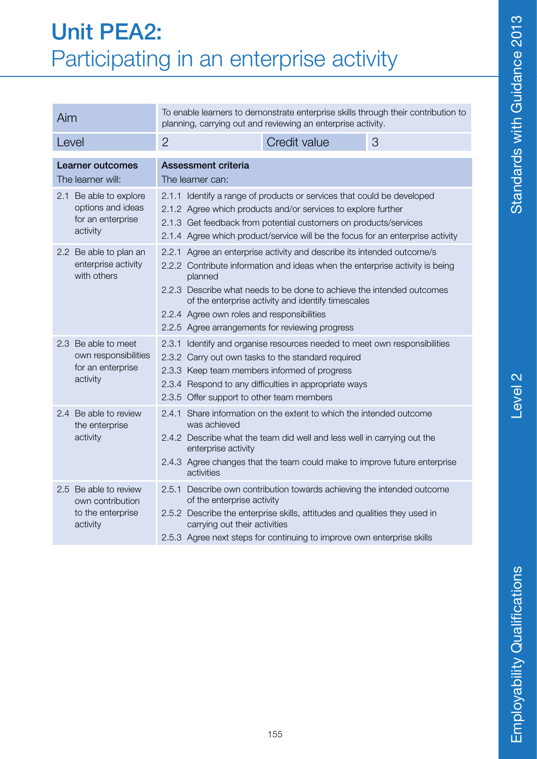| Aim                                                                          | To enable learners to demonstrate enterprise skills through their contribution to<br>planning, carrying out and reviewing an enterprise activity.                                                                                                                                                                                                                                                 |  |  |
|------------------------------------------------------------------------------|---------------------------------------------------------------------------------------------------------------------------------------------------------------------------------------------------------------------------------------------------------------------------------------------------------------------------------------------------------------------------------------------------|--|--|
| Level                                                                        | $\overline{2}$<br>Credit value<br>3                                                                                                                                                                                                                                                                                                                                                               |  |  |
| <b>Learner outcomes</b><br>The learner will:                                 | <b>Assessment criteria</b><br>The learner can:                                                                                                                                                                                                                                                                                                                                                    |  |  |
| 2.1 Be able to explore<br>options and ideas<br>for an enterprise<br>activity | 2.1.1 Identify a range of products or services that could be developed<br>2.1.2 Agree which products and/or services to explore further<br>2.1.3 Get feedback from potential customers on products/services<br>2.1.4 Agree which product/service will be the focus for an enterprise activity                                                                                                     |  |  |
| 2.2 Be able to plan an<br>enterprise activity<br>with others                 | 2.2.1 Agree an enterprise activity and describe its intended outcome/s<br>2.2.2 Contribute information and ideas when the enterprise activity is being<br>planned<br>2.2.3 Describe what needs to be done to achieve the intended outcomes<br>of the enterprise activity and identify timescales<br>2.2.4 Agree own roles and responsibilities<br>2.2.5 Agree arrangements for reviewing progress |  |  |
| 2.3 Be able to meet<br>own responsibilities<br>for an enterprise<br>activity | 2.3.1 Identify and organise resources needed to meet own responsibilities<br>2.3.2 Carry out own tasks to the standard required<br>2.3.3 Keep team members informed of progress<br>2.3.4 Respond to any difficulties in appropriate ways<br>2.3.5 Offer support to other team members                                                                                                             |  |  |
| 2.4 Be able to review<br>the enterprise<br>activity                          | 2.4.1 Share information on the extent to which the intended outcome<br>was achieved<br>2.4.2 Describe what the team did well and less well in carrying out the<br>enterprise activity<br>2.4.3 Agree changes that the team could make to improve future enterprise<br>activities                                                                                                                  |  |  |
| 2.5 Be able to review<br>own contribution<br>to the enterprise<br>activity   | 2.5.1 Describe own contribution towards achieving the intended outcome<br>of the enterprise activity<br>2.5.2 Describe the enterprise skills, attitudes and qualities they used in<br>carrying out their activities<br>2.5.3 Agree next steps for continuing to improve own enterprise skills                                                                                                     |  |  |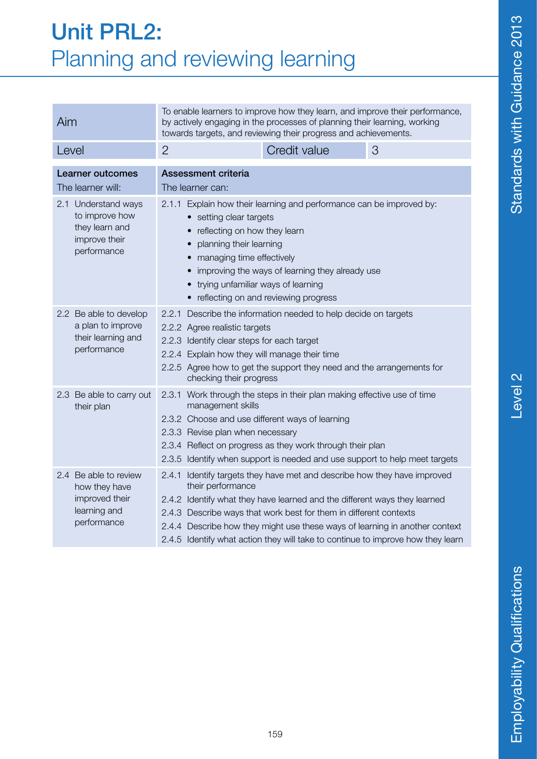|                                                                                  | Aim                                                                                     | TO enable learners to improve now they learn, and improve their penomiance,<br>by actively engaging in the processes of planning their learning, working<br>towards targets, and reviewing their progress and achievements.                                                                                                    |                                                                                                                                                                                                                                                                                                                                                                                              |   |  |
|----------------------------------------------------------------------------------|-----------------------------------------------------------------------------------------|--------------------------------------------------------------------------------------------------------------------------------------------------------------------------------------------------------------------------------------------------------------------------------------------------------------------------------|----------------------------------------------------------------------------------------------------------------------------------------------------------------------------------------------------------------------------------------------------------------------------------------------------------------------------------------------------------------------------------------------|---|--|
|                                                                                  | Level                                                                                   | $\overline{2}$                                                                                                                                                                                                                                                                                                                 | Credit value                                                                                                                                                                                                                                                                                                                                                                                 | 3 |  |
| <b>Learner outcomes</b><br>The learner will:                                     |                                                                                         | <b>Assessment criteria</b><br>The learner can:                                                                                                                                                                                                                                                                                 |                                                                                                                                                                                                                                                                                                                                                                                              |   |  |
|                                                                                  | 2.1 Understand ways<br>to improve how<br>they learn and<br>improve their<br>performance | 2.1.1 Explain how their learning and performance can be improved by:<br>setting clear targets<br>reflecting on how they learn<br>planning their learning<br>managing time effectively<br>improving the ways of learning they already use<br>trying unfamiliar ways of learning<br>• reflecting on and reviewing progress       |                                                                                                                                                                                                                                                                                                                                                                                              |   |  |
| 2.2 Be able to develop<br>a plan to improve<br>their learning and<br>performance |                                                                                         | 2.2.1 Describe the information needed to help decide on targets<br>2.2.2 Agree realistic targets<br>2.2.3 Identify clear steps for each target<br>2.2.4 Explain how they will manage their time<br>2.2.5 Agree how to get the support they need and the arrangements for<br>checking their progress                            |                                                                                                                                                                                                                                                                                                                                                                                              |   |  |
|                                                                                  | 2.3 Be able to carry out<br>their plan                                                  | 2.3.1 Work through the steps in their plan making effective use of time<br>management skills<br>2.3.2 Choose and use different ways of learning<br>2.3.3 Revise plan when necessary<br>2.3.4 Reflect on progress as they work through their plan<br>2.3.5 Identify when support is needed and use support to help meet targets |                                                                                                                                                                                                                                                                                                                                                                                              |   |  |
|                                                                                  | 2.4 Be able to review<br>how they have<br>improved their<br>learning and<br>performance | their performance                                                                                                                                                                                                                                                                                                              | 2.4.1 Identify targets they have met and describe how they have improved<br>2.4.2 Identify what they have learned and the different ways they learned<br>2.4.3 Describe ways that work best for them in different contexts<br>2.4.4 Describe how they might use these ways of learning in another context<br>2.4.5 Identify what action they will take to continue to improve how they learn |   |  |

To enable learners to improve how they learn, and improve their performance,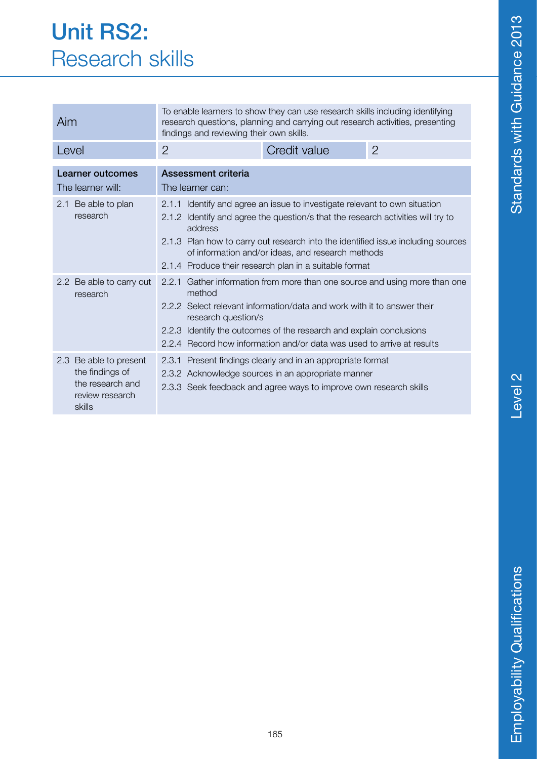#### Unit RS2: Research skills

| Aim                                                                                        | To enable learners to show they can use research skills including identifying<br>research questions, planning and carrying out research activities, presenting<br>findings and reviewing their own skills.                                                                                                                                 |              |                |  |
|--------------------------------------------------------------------------------------------|--------------------------------------------------------------------------------------------------------------------------------------------------------------------------------------------------------------------------------------------------------------------------------------------------------------------------------------------|--------------|----------------|--|
| Level                                                                                      | $\overline{2}$                                                                                                                                                                                                                                                                                                                             | Credit value | $\overline{2}$ |  |
| Learner outcomes<br>The learner will:<br>2.1 Be able to plan<br>research                   | Assessment criteria<br>The learner can:<br>2.1.1 Identify and agree an issue to investigate relevant to own situation<br>2.1.2 Identify and agree the question/s that the research activities will try to<br>address                                                                                                                       |              |                |  |
|                                                                                            | 2.1.3 Plan how to carry out research into the identified issue including sources<br>of information and/or ideas, and research methods<br>2.1.4 Produce their research plan in a suitable format                                                                                                                                            |              |                |  |
| 2.2 Be able to carry out<br>research                                                       | Gather information from more than one source and using more than one<br>2.2.1<br>method<br>2.2.2 Select relevant information/data and work with it to answer their<br>research question/s<br>2.2.3 Identify the outcomes of the research and explain conclusions<br>2.2.4 Record how information and/or data was used to arrive at results |              |                |  |
| 2.3 Be able to present<br>the findings of<br>the research and<br>review research<br>skills | 2.3.1 Present findings clearly and in an appropriate format<br>2.3.2 Acknowledge sources in an appropriate manner<br>2.3.3 Seek feedback and agree ways to improve own research skills                                                                                                                                                     |              |                |  |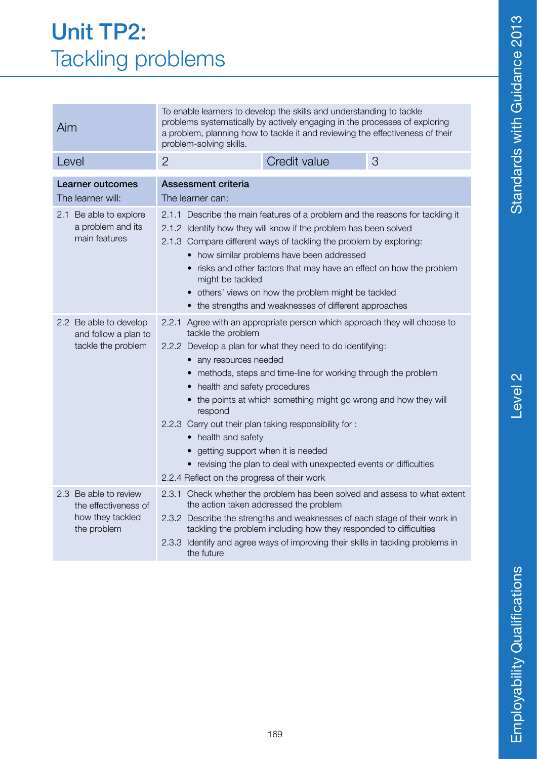| Aim                                                                              | To enable learners to develop the skills and understanding to tackle<br>problems systematically by actively engaging in the processes of exploring<br>a problem, planning how to tackle it and reviewing the effectiveness of their<br>problem-solving skills.                                                                                                                                                                                                                                                                                                                                                      |  |  |
|----------------------------------------------------------------------------------|---------------------------------------------------------------------------------------------------------------------------------------------------------------------------------------------------------------------------------------------------------------------------------------------------------------------------------------------------------------------------------------------------------------------------------------------------------------------------------------------------------------------------------------------------------------------------------------------------------------------|--|--|
| Level                                                                            | Credit value<br>3<br>$\overline{2}$                                                                                                                                                                                                                                                                                                                                                                                                                                                                                                                                                                                 |  |  |
| <b>Learner outcomes</b><br>The learner will:                                     | <b>Assessment criteria</b><br>The learner can:                                                                                                                                                                                                                                                                                                                                                                                                                                                                                                                                                                      |  |  |
| 2.1 Be able to explore<br>a problem and its<br>main features                     | 2.1.1 Describe the main features of a problem and the reasons for tackling it<br>2.1.2 Identify how they will know if the problem has been solved<br>2.1.3 Compare different ways of tackling the problem by exploring:<br>• how similar problems have been addressed<br>• risks and other factors that may have an effect on how the problem<br>might be tackled<br>others' views on how the problem might be tackled<br>• the strengths and weaknesses of different approaches                                                                                                                                    |  |  |
| 2.2 Be able to develop<br>and follow a plan to<br>tackle the problem             | 2.2.1 Agree with an appropriate person which approach they will choose to<br>tackle the problem<br>2.2.2 Develop a plan for what they need to do identifying:<br>• any resources needed<br>• methods, steps and time-line for working through the problem<br>health and safety procedures<br>• the points at which something might go wrong and how they will<br>respond<br>2.2.3 Carry out their plan taking responsibility for :<br>• health and safety<br>getting support when it is needed<br>• revising the plan to deal with unexpected events or difficulties<br>2.2.4 Reflect on the progress of their work |  |  |
| 2.3 Be able to review<br>the effectiveness of<br>how they tackled<br>the problem | 2.3.1 Check whether the problem has been solved and assess to what extent<br>the action taken addressed the problem<br>2.3.2 Describe the strengths and weaknesses of each stage of their work in<br>tackling the problem including how they responded to difficulties<br>2.3.3 Identify and agree ways of improving their skills in tackling problems in<br>the future                                                                                                                                                                                                                                             |  |  |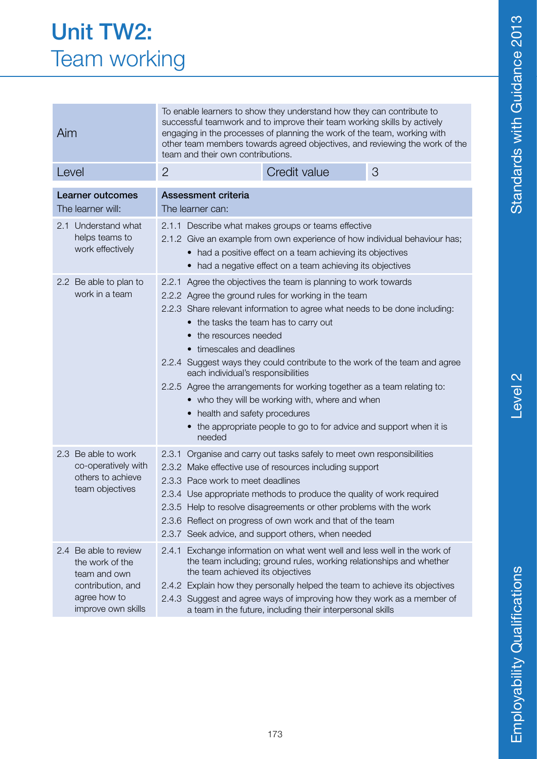| <b>Unit TW2:</b>    |
|---------------------|
| <b>Team working</b> |

| Aim                                                                                                                 | successful teamwork and to improve their team working skills by actively<br>engaging in the processes of planning the work of the team, working with<br>other team members towards agreed objectives, and reviewing the work of the<br>team and their own contributions.                                                                                                                                                                                                                                                                                                                                                                                                     |              |   |  |
|---------------------------------------------------------------------------------------------------------------------|------------------------------------------------------------------------------------------------------------------------------------------------------------------------------------------------------------------------------------------------------------------------------------------------------------------------------------------------------------------------------------------------------------------------------------------------------------------------------------------------------------------------------------------------------------------------------------------------------------------------------------------------------------------------------|--------------|---|--|
| Level                                                                                                               | $\overline{2}$                                                                                                                                                                                                                                                                                                                                                                                                                                                                                                                                                                                                                                                               | Credit value | 3 |  |
| Learner outcomes<br>The learner will:                                                                               | <b>Assessment criteria</b><br>The learner can:                                                                                                                                                                                                                                                                                                                                                                                                                                                                                                                                                                                                                               |              |   |  |
| 2.1 Understand what<br>helps teams to<br>work effectively                                                           | 2.1.1 Describe what makes groups or teams effective<br>2.1.2 Give an example from own experience of how individual behaviour has;<br>• had a positive effect on a team achieving its objectives<br>• had a negative effect on a team achieving its objectives                                                                                                                                                                                                                                                                                                                                                                                                                |              |   |  |
| 2.2 Be able to plan to<br>work in a team                                                                            | 2.2.1 Agree the objectives the team is planning to work towards<br>2.2.2 Agree the ground rules for working in the team<br>2.2.3 Share relevant information to agree what needs to be done including:<br>• the tasks the team has to carry out<br>• the resources needed<br>• timescales and deadlines<br>2.2.4 Suggest ways they could contribute to the work of the team and agree<br>each individual's responsibilities<br>2.2.5 Agree the arrangements for working together as a team relating to:<br>• who they will be working with, where and when<br>• health and safety procedures<br>• the appropriate people to go to for advice and support when it is<br>needed |              |   |  |
| 2.3 Be able to work<br>co-operatively with<br>others to achieve<br>team objectives                                  | 2.3.1 Organise and carry out tasks safely to meet own responsibilities<br>2.3.2 Make effective use of resources including support<br>2.3.3 Pace work to meet deadlines<br>2.3.4 Use appropriate methods to produce the quality of work required<br>2.3.5 Help to resolve disagreements or other problems with the work<br>2.3.6 Reflect on progress of own work and that of the team<br>2.3.7 Seek advice, and support others, when needed                                                                                                                                                                                                                                   |              |   |  |
| 2.4 Be able to review<br>the work of the<br>team and own<br>contribution, and<br>agree how to<br>improve own skills | Exchange information on what went well and less well in the work of<br>2.4.1<br>the team including; ground rules, working relationships and whether<br>the team achieved its objectives<br>2.4.2 Explain how they personally helped the team to achieve its objectives<br>2.4.3 Suggest and agree ways of improving how they work as a member of<br>a team in the future, including their interpersonal skills                                                                                                                                                                                                                                                               |              |   |  |

To enable learners to show they understand how they can contribute to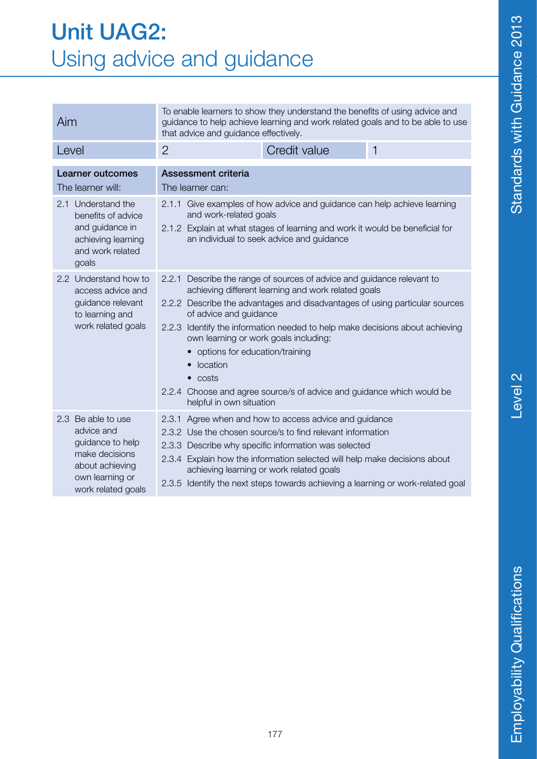#### Unit UAG2: Using advice and guidance

| Aim                                                                                                                                | To enable learners to show they understand the benefits of using advice and<br>guidance to help achieve learning and work related goals and to be able to use<br>that advice and guidance effectively.                                                                                                                                                                                                                                                                                                                                   |                                                                                                                                                                                                                                                                                                                                                                                          |             |
|------------------------------------------------------------------------------------------------------------------------------------|------------------------------------------------------------------------------------------------------------------------------------------------------------------------------------------------------------------------------------------------------------------------------------------------------------------------------------------------------------------------------------------------------------------------------------------------------------------------------------------------------------------------------------------|------------------------------------------------------------------------------------------------------------------------------------------------------------------------------------------------------------------------------------------------------------------------------------------------------------------------------------------------------------------------------------------|-------------|
| Level                                                                                                                              | $\overline{2}$                                                                                                                                                                                                                                                                                                                                                                                                                                                                                                                           | Credit value                                                                                                                                                                                                                                                                                                                                                                             | $\mathbf 1$ |
| <b>Learner outcomes</b><br>The learner will:                                                                                       | Assessment criteria<br>The learner can:                                                                                                                                                                                                                                                                                                                                                                                                                                                                                                  |                                                                                                                                                                                                                                                                                                                                                                                          |             |
| Understand the<br>2.1<br>benefits of advice<br>and guidance in<br>achieving learning<br>and work related<br>goals                  | 2.1.1 Give examples of how advice and guidance can help achieve learning<br>and work-related goals<br>2.1.2 Explain at what stages of learning and work it would be beneficial for<br>an individual to seek advice and guidance                                                                                                                                                                                                                                                                                                          |                                                                                                                                                                                                                                                                                                                                                                                          |             |
| 2.2 Understand how to<br>access advice and<br>guidance relevant<br>to learning and<br>work related goals                           | Describe the range of sources of advice and guidance relevant to<br>2.2.1<br>achieving different learning and work related goals<br>2.2.2 Describe the advantages and disadvantages of using particular sources<br>of advice and guidance<br>2.2.3 Identify the information needed to help make decisions about achieving<br>own learning or work goals including:<br>options for education/training<br>location<br>$\bullet$ costs<br>2.2.4 Choose and agree source/s of advice and guidance which would be<br>helpful in own situation |                                                                                                                                                                                                                                                                                                                                                                                          |             |
| 2.3 Be able to use<br>advice and<br>guidance to help<br>make decisions<br>about achieving<br>own learning or<br>work related goals |                                                                                                                                                                                                                                                                                                                                                                                                                                                                                                                                          | 2.3.1 Agree when and how to access advice and guidance<br>2.3.2 Use the chosen source/s to find relevant information<br>2.3.3 Describe why specific information was selected<br>2.3.4 Explain how the information selected will help make decisions about<br>achieving learning or work related goals<br>2.3.5 Identify the next steps towards achieving a learning or work-related goal |             |